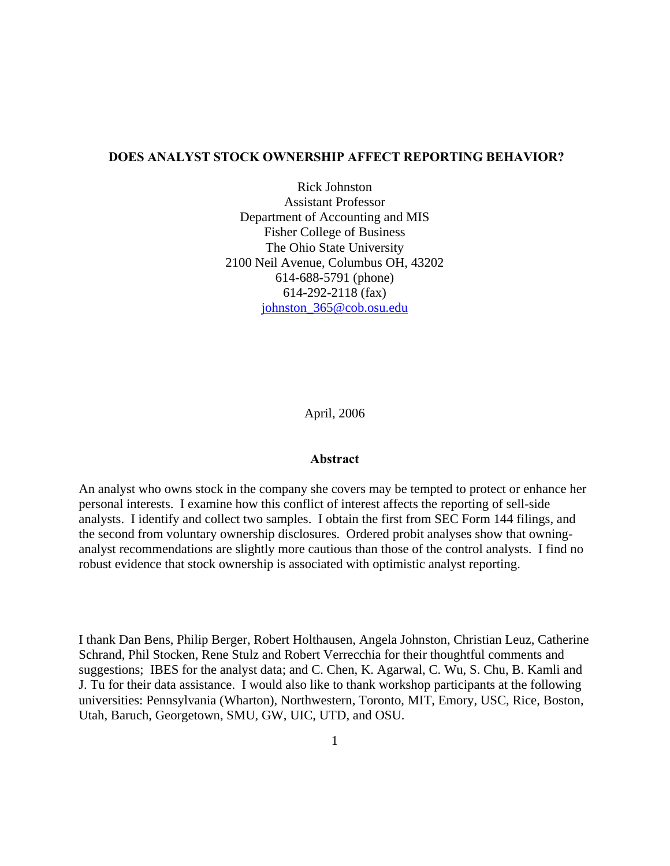### **DOES ANALYST STOCK OWNERSHIP AFFECT REPORTING BEHAVIOR?**

Rick Johnston Assistant Professor Department of Accounting and MIS Fisher College of Business The Ohio State University 2100 Neil Avenue, Columbus OH, 43202 614-688-5791 (phone) 614-292-2118 (fax) johnston\_365@cob.osu.edu

April, 2006

### **Abstract**

An analyst who owns stock in the company she covers may be tempted to protect or enhance her personal interests. I examine how this conflict of interest affects the reporting of sell-side analysts. I identify and collect two samples. I obtain the first from SEC Form 144 filings, and the second from voluntary ownership disclosures. Ordered probit analyses show that owninganalyst recommendations are slightly more cautious than those of the control analysts. I find no robust evidence that stock ownership is associated with optimistic analyst reporting.

I thank Dan Bens, Philip Berger, Robert Holthausen, Angela Johnston, Christian Leuz, Catherine Schrand, Phil Stocken, Rene Stulz and Robert Verrecchia for their thoughtful comments and suggestions; IBES for the analyst data; and C. Chen, K. Agarwal, C. Wu, S. Chu, B. Kamli and J. Tu for their data assistance. I would also like to thank workshop participants at the following universities: Pennsylvania (Wharton), Northwestern, Toronto, MIT, Emory, USC, Rice, Boston, Utah, Baruch, Georgetown, SMU, GW, UIC, UTD, and OSU.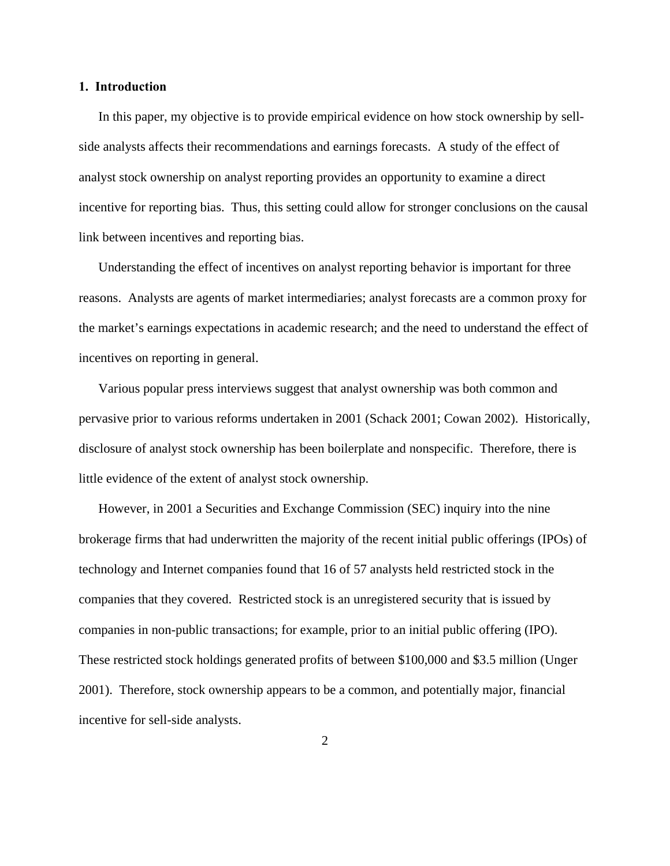### **1. Introduction**

In this paper, my objective is to provide empirical evidence on how stock ownership by sellside analysts affects their recommendations and earnings forecasts. A study of the effect of analyst stock ownership on analyst reporting provides an opportunity to examine a direct incentive for reporting bias. Thus, this setting could allow for stronger conclusions on the causal link between incentives and reporting bias.

Understanding the effect of incentives on analyst reporting behavior is important for three reasons. Analysts are agents of market intermediaries; analyst forecasts are a common proxy for the market's earnings expectations in academic research; and the need to understand the effect of incentives on reporting in general.

Various popular press interviews suggest that analyst ownership was both common and pervasive prior to various reforms undertaken in 2001 (Schack 2001; Cowan 2002). Historically, disclosure of analyst stock ownership has been boilerplate and nonspecific. Therefore, there is little evidence of the extent of analyst stock ownership.

However, in 2001 a Securities and Exchange Commission (SEC) inquiry into the nine brokerage firms that had underwritten the majority of the recent initial public offerings (IPOs) of technology and Internet companies found that 16 of 57 analysts held restricted stock in the companies that they covered. Restricted stock is an unregistered security that is issued by companies in non-public transactions; for example, prior to an initial public offering (IPO). These restricted stock holdings generated profits of between \$100,000 and \$3.5 million (Unger 2001). Therefore, stock ownership appears to be a common, and potentially major, financial incentive for sell-side analysts.

2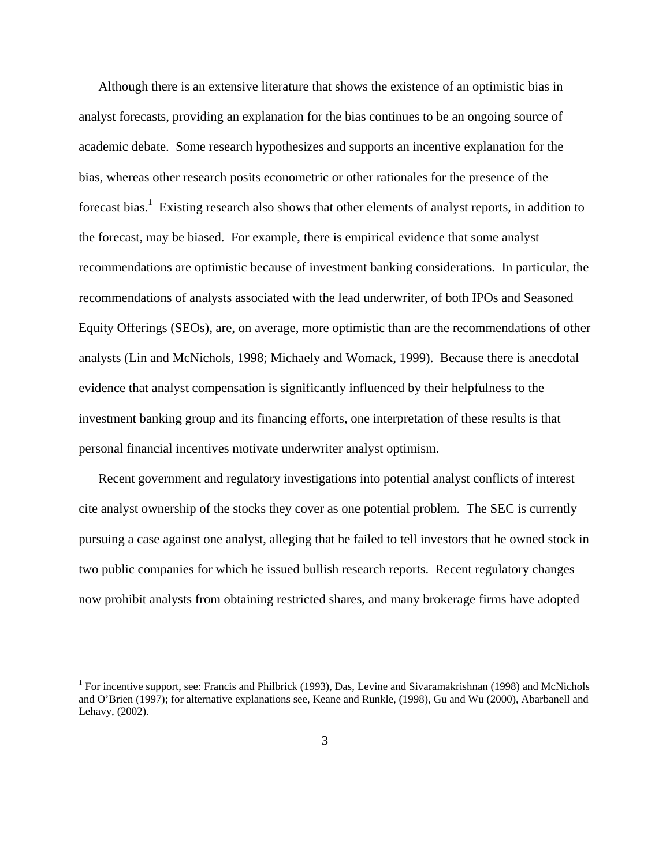Although there is an extensive literature that shows the existence of an optimistic bias in analyst forecasts, providing an explanation for the bias continues to be an ongoing source of academic debate. Some research hypothesizes and supports an incentive explanation for the bias, whereas other research posits econometric or other rationales for the presence of the forecast bias.<sup>1</sup> Existing research also shows that other elements of analyst reports, in addition to the forecast, may be biased. For example, there is empirical evidence that some analyst recommendations are optimistic because of investment banking considerations. In particular, the recommendations of analysts associated with the lead underwriter, of both IPOs and Seasoned Equity Offerings (SEOs), are, on average, more optimistic than are the recommendations of other analysts (Lin and McNichols, 1998; Michaely and Womack, 1999). Because there is anecdotal evidence that analyst compensation is significantly influenced by their helpfulness to the investment banking group and its financing efforts, one interpretation of these results is that personal financial incentives motivate underwriter analyst optimism.

Recent government and regulatory investigations into potential analyst conflicts of interest cite analyst ownership of the stocks they cover as one potential problem. The SEC is currently pursuing a case against one analyst, alleging that he failed to tell investors that he owned stock in two public companies for which he issued bullish research reports. Recent regulatory changes now prohibit analysts from obtaining restricted shares, and many brokerage firms have adopted

1

<sup>&</sup>lt;sup>1</sup> For incentive support, see: Francis and Philbrick (1993), Das, Levine and Sivaramakrishnan (1998) and McNichols and O'Brien (1997); for alternative explanations see, Keane and Runkle, (1998), Gu and Wu (2000), Abarbanell and Lehavy, (2002).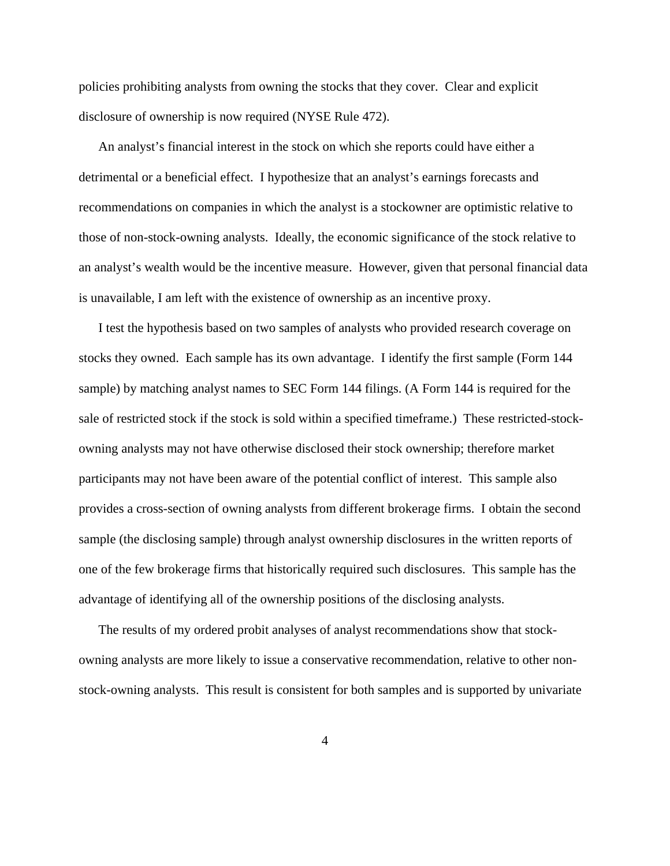policies prohibiting analysts from owning the stocks that they cover. Clear and explicit disclosure of ownership is now required (NYSE Rule 472).

An analyst's financial interest in the stock on which she reports could have either a detrimental or a beneficial effect. I hypothesize that an analyst's earnings forecasts and recommendations on companies in which the analyst is a stockowner are optimistic relative to those of non-stock-owning analysts. Ideally, the economic significance of the stock relative to an analyst's wealth would be the incentive measure. However, given that personal financial data is unavailable, I am left with the existence of ownership as an incentive proxy.

I test the hypothesis based on two samples of analysts who provided research coverage on stocks they owned. Each sample has its own advantage. I identify the first sample (Form 144 sample) by matching analyst names to SEC Form 144 filings. (A Form 144 is required for the sale of restricted stock if the stock is sold within a specified timeframe.) These restricted-stockowning analysts may not have otherwise disclosed their stock ownership; therefore market participants may not have been aware of the potential conflict of interest. This sample also provides a cross-section of owning analysts from different brokerage firms. I obtain the second sample (the disclosing sample) through analyst ownership disclosures in the written reports of one of the few brokerage firms that historically required such disclosures. This sample has the advantage of identifying all of the ownership positions of the disclosing analysts.

The results of my ordered probit analyses of analyst recommendations show that stockowning analysts are more likely to issue a conservative recommendation, relative to other nonstock-owning analysts. This result is consistent for both samples and is supported by univariate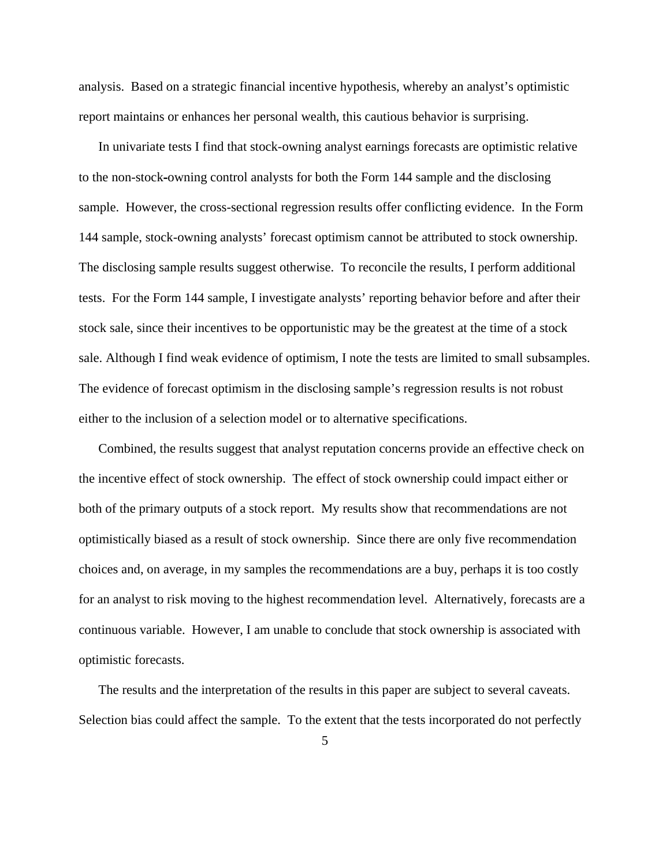analysis. Based on a strategic financial incentive hypothesis, whereby an analyst's optimistic report maintains or enhances her personal wealth, this cautious behavior is surprising.

In univariate tests I find that stock-owning analyst earnings forecasts are optimistic relative to the non-stock**-**owning control analysts for both the Form 144 sample and the disclosing sample. However, the cross-sectional regression results offer conflicting evidence. In the Form 144 sample, stock-owning analysts' forecast optimism cannot be attributed to stock ownership. The disclosing sample results suggest otherwise. To reconcile the results, I perform additional tests. For the Form 144 sample, I investigate analysts' reporting behavior before and after their stock sale, since their incentives to be opportunistic may be the greatest at the time of a stock sale. Although I find weak evidence of optimism, I note the tests are limited to small subsamples. The evidence of forecast optimism in the disclosing sample's regression results is not robust either to the inclusion of a selection model or to alternative specifications.

Combined, the results suggest that analyst reputation concerns provide an effective check on the incentive effect of stock ownership. The effect of stock ownership could impact either or both of the primary outputs of a stock report. My results show that recommendations are not optimistically biased as a result of stock ownership. Since there are only five recommendation choices and, on average, in my samples the recommendations are a buy, perhaps it is too costly for an analyst to risk moving to the highest recommendation level. Alternatively, forecasts are a continuous variable. However, I am unable to conclude that stock ownership is associated with optimistic forecasts.

The results and the interpretation of the results in this paper are subject to several caveats. Selection bias could affect the sample. To the extent that the tests incorporated do not perfectly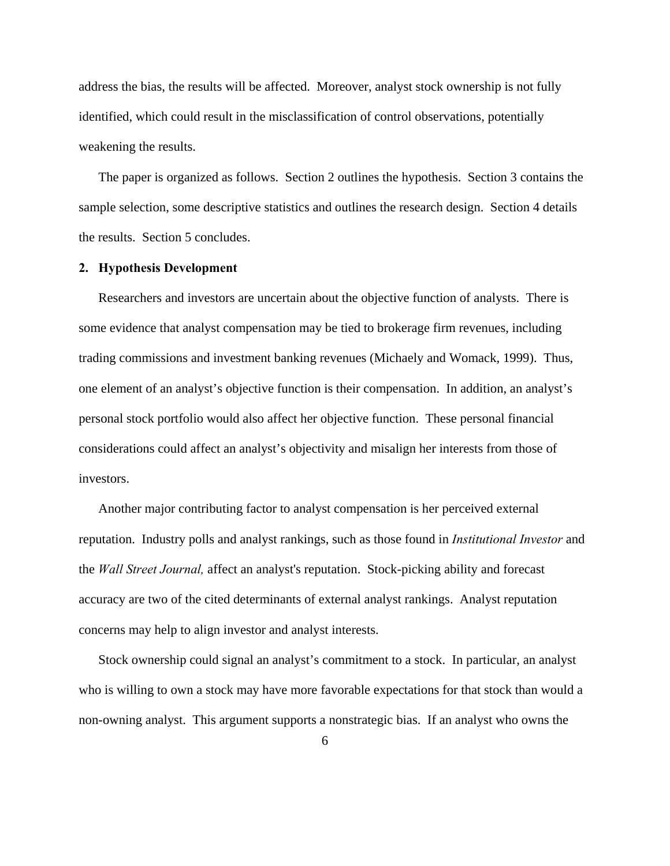address the bias, the results will be affected. Moreover, analyst stock ownership is not fully identified, which could result in the misclassification of control observations, potentially weakening the results.

The paper is organized as follows. Section 2 outlines the hypothesis. Section 3 contains the sample selection, some descriptive statistics and outlines the research design. Section 4 details the results. Section 5 concludes.

### **2. Hypothesis Development**

Researchers and investors are uncertain about the objective function of analysts. There is some evidence that analyst compensation may be tied to brokerage firm revenues, including trading commissions and investment banking revenues (Michaely and Womack, 1999). Thus, one element of an analyst's objective function is their compensation. In addition, an analyst's personal stock portfolio would also affect her objective function. These personal financial considerations could affect an analyst's objectivity and misalign her interests from those of investors.

Another major contributing factor to analyst compensation is her perceived external reputation. Industry polls and analyst rankings, such as those found in *Institutional Investor* and the *Wall Street Journal,* affect an analyst's reputation. Stock-picking ability and forecast accuracy are two of the cited determinants of external analyst rankings. Analyst reputation concerns may help to align investor and analyst interests.

Stock ownership could signal an analyst's commitment to a stock. In particular, an analyst who is willing to own a stock may have more favorable expectations for that stock than would a non-owning analyst. This argument supports a nonstrategic bias. If an analyst who owns the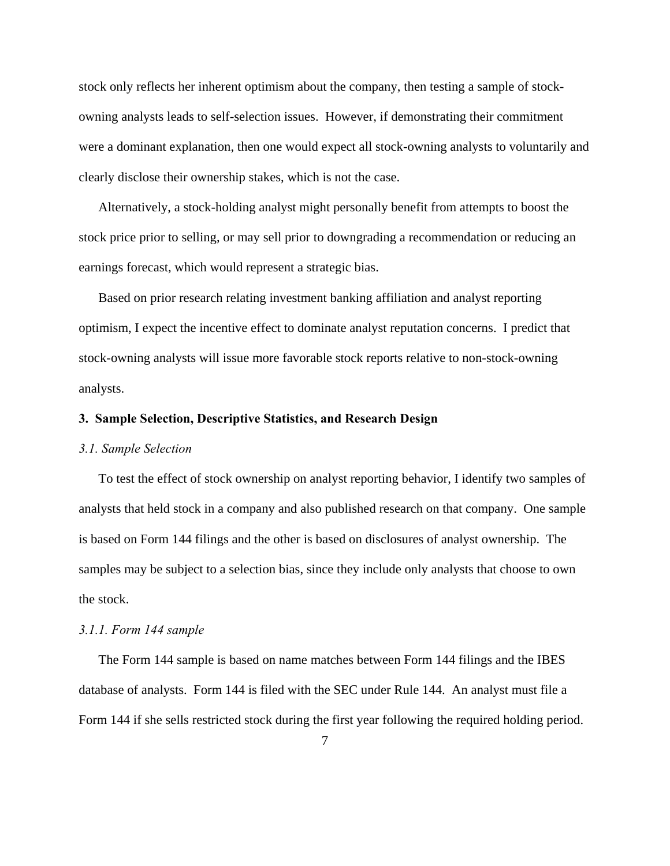stock only reflects her inherent optimism about the company, then testing a sample of stockowning analysts leads to self-selection issues. However, if demonstrating their commitment were a dominant explanation, then one would expect all stock-owning analysts to voluntarily and clearly disclose their ownership stakes, which is not the case.

Alternatively, a stock-holding analyst might personally benefit from attempts to boost the stock price prior to selling, or may sell prior to downgrading a recommendation or reducing an earnings forecast, which would represent a strategic bias.

Based on prior research relating investment banking affiliation and analyst reporting optimism, I expect the incentive effect to dominate analyst reputation concerns. I predict that stock-owning analysts will issue more favorable stock reports relative to non-stock-owning analysts.

### **3. Sample Selection, Descriptive Statistics, and Research Design**

### *3.1. Sample Selection*

To test the effect of stock ownership on analyst reporting behavior, I identify two samples of analysts that held stock in a company and also published research on that company. One sample is based on Form 144 filings and the other is based on disclosures of analyst ownership. The samples may be subject to a selection bias, since they include only analysts that choose to own the stock.

#### *3.1.1. Form 144 sample*

The Form 144 sample is based on name matches between Form 144 filings and the IBES database of analysts.Form 144 is filed with the SEC under Rule 144. An analyst must file a Form 144 if she sells restricted stock during the first year following the required holding period.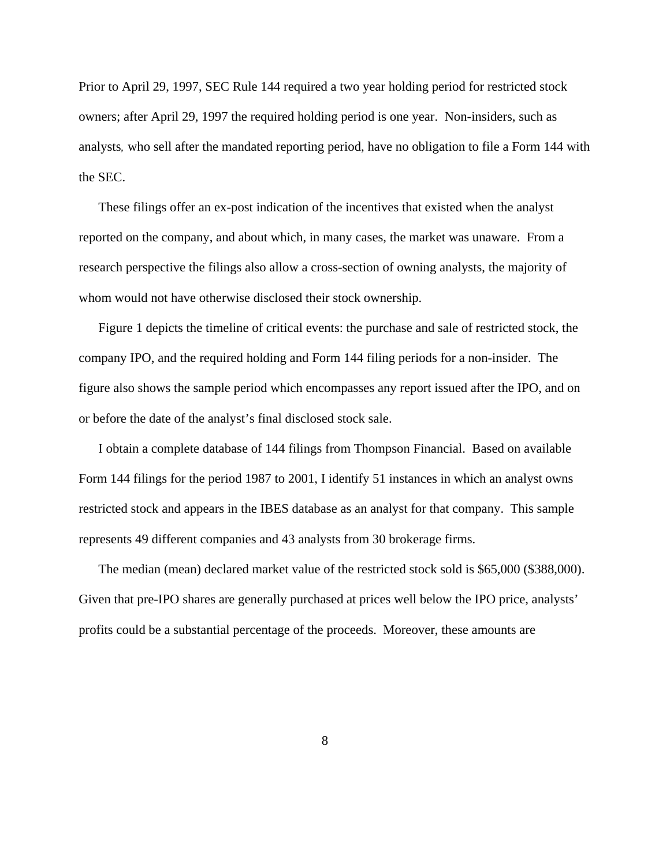Prior to April 29, 1997, SEC Rule 144 required a two year holding period for restricted stock owners; after April 29, 1997 the required holding period is one year. Non-insiders, such as analysts*,* who sell after the mandated reporting period, have no obligation to file a Form 144 with the SEC.

These filings offer an ex-post indication of the incentives that existed when the analyst reported on the company, and about which, in many cases, the market was unaware. From a research perspective the filings also allow a cross-section of owning analysts, the majority of whom would not have otherwise disclosed their stock ownership.

Figure 1 depicts the timeline of critical events: the purchase and sale of restricted stock, the company IPO, and the required holding and Form 144 filing periods for a non-insider. The figure also shows the sample period which encompasses any report issued after the IPO, and on or before the date of the analyst's final disclosed stock sale.

I obtain a complete database of 144 filings from Thompson Financial. Based on available Form 144 filings for the period 1987 to 2001, I identify 51 instances in which an analyst owns restricted stock and appears in the IBES database as an analyst for that company. This sample represents 49 different companies and 43 analysts from 30 brokerage firms.

The median (mean) declared market value of the restricted stock sold is \$65,000 (\$388,000). Given that pre-IPO shares are generally purchased at prices well below the IPO price, analysts' profits could be a substantial percentage of the proceeds. Moreover, these amounts are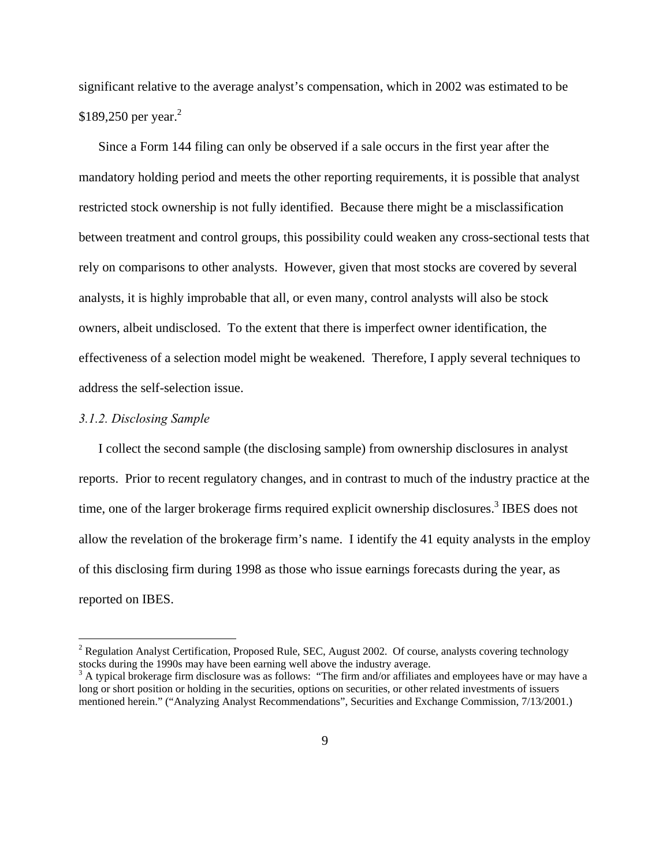significant relative to the average analyst's compensation, which in 2002 was estimated to be \$189,250 per year. $^{2}$ 

Since a Form 144 filing can only be observed if a sale occurs in the first year after the mandatory holding period and meets the other reporting requirements, it is possible that analyst restricted stock ownership is not fully identified. Because there might be a misclassification between treatment and control groups, this possibility could weaken any cross-sectional tests that rely on comparisons to other analysts. However, given that most stocks are covered by several analysts, it is highly improbable that all, or even many, control analysts will also be stock owners, albeit undisclosed. To the extent that there is imperfect owner identification, the effectiveness of a selection model might be weakened. Therefore, I apply several techniques to address the self-selection issue.

#### *3.1.2. Disclosing Sample*

1

I collect the second sample (the disclosing sample) from ownership disclosures in analyst reports. Prior to recent regulatory changes, and in contrast to much of the industry practice at the time, one of the larger brokerage firms required explicit ownership disclosures.<sup>3</sup> IBES does not allow the revelation of the brokerage firm's name. I identify the 41 equity analysts in the employ of this disclosing firm during 1998 as those who issue earnings forecasts during the year, as reported on IBES.

<sup>&</sup>lt;sup>2</sup> Regulation Analyst Certification, Proposed Rule, SEC, August 2002. Of course, analysts covering technology stocks during the 1990s may have been earning well above the industry average.

<sup>&</sup>lt;sup>3</sup> A typical brokerage firm disclosure was as follows: "The firm and/or affiliates and employees have or may have a long or short position or holding in the securities, options on securities, or other related investments of issuers mentioned herein." ("Analyzing Analyst Recommendations", Securities and Exchange Commission, 7/13/2001.)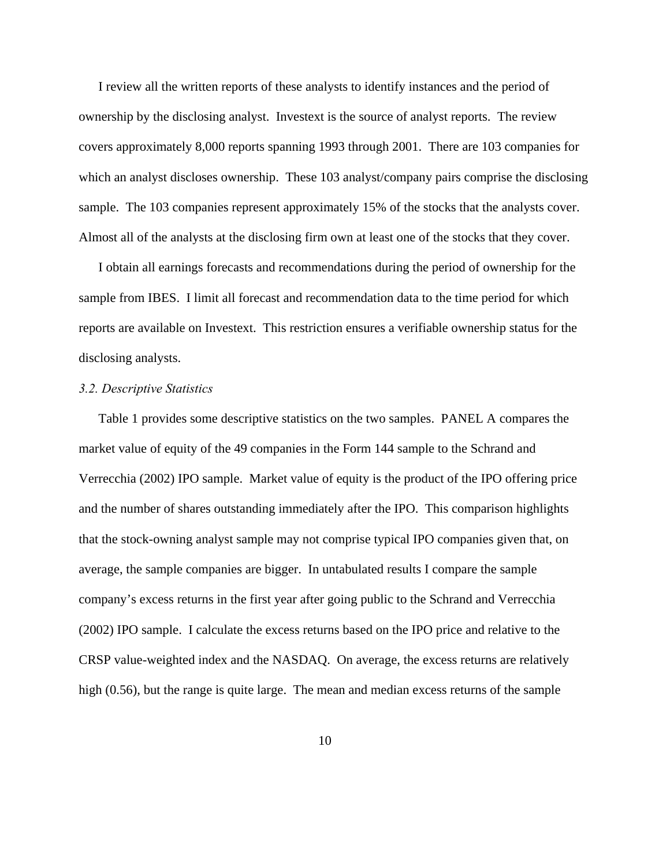I review all the written reports of these analysts to identify instances and the period of ownership by the disclosing analyst. Investext is the source of analyst reports. The review covers approximately 8,000 reports spanning 1993 through 2001. There are 103 companies for which an analyst discloses ownership. These 103 analyst/company pairs comprise the disclosing sample. The 103 companies represent approximately 15% of the stocks that the analysts cover. Almost all of the analysts at the disclosing firm own at least one of the stocks that they cover.

I obtain all earnings forecasts and recommendations during the period of ownership for the sample from IBES. I limit all forecast and recommendation data to the time period for which reports are available on Investext. This restriction ensures a verifiable ownership status for the disclosing analysts.

### *3.2. Descriptive Statistics*

Table 1 provides some descriptive statistics on the two samples. PANEL A compares the market value of equity of the 49 companies in the Form 144 sample to the Schrand and Verrecchia (2002) IPO sample. Market value of equity is the product of the IPO offering price and the number of shares outstanding immediately after the IPO. This comparison highlights that the stock-owning analyst sample may not comprise typical IPO companies given that, on average, the sample companies are bigger. In untabulated results I compare the sample company's excess returns in the first year after going public to the Schrand and Verrecchia (2002) IPO sample. I calculate the excess returns based on the IPO price and relative to the CRSP value-weighted index and the NASDAQ. On average, the excess returns are relatively high (0.56), but the range is quite large. The mean and median excess returns of the sample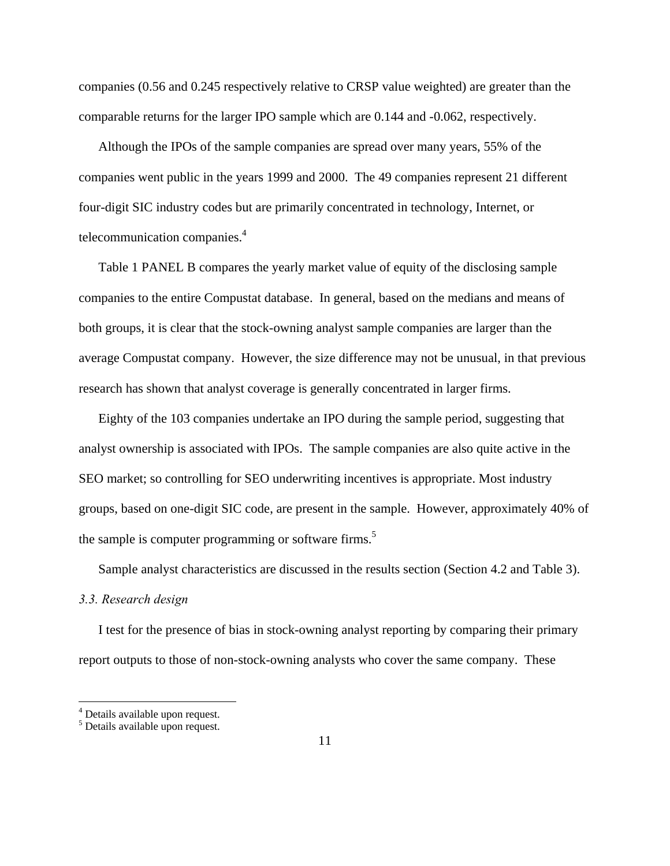companies (0.56 and 0.245 respectively relative to CRSP value weighted) are greater than the comparable returns for the larger IPO sample which are 0.144 and -0.062, respectively.

Although the IPOs of the sample companies are spread over many years, 55% of the companies went public in the years 1999 and 2000. The 49 companies represent 21 different four-digit SIC industry codes but are primarily concentrated in technology, Internet, or telecommunication companies.<sup>4</sup>

Table 1 PANEL B compares the yearly market value of equity of the disclosing sample companies to the entire Compustat database. In general, based on the medians and means of both groups, it is clear that the stock-owning analyst sample companies are larger than the average Compustat company. However, the size difference may not be unusual, in that previous research has shown that analyst coverage is generally concentrated in larger firms.

Eighty of the 103 companies undertake an IPO during the sample period, suggesting that analyst ownership is associated with IPOs. The sample companies are also quite active in the SEO market; so controlling for SEO underwriting incentives is appropriate. Most industry groups, based on one-digit SIC code, are present in the sample. However, approximately 40% of the sample is computer programming or software firms.<sup>5</sup>

Sample analyst characteristics are discussed in the results section (Section 4.2 and Table 3).

### *3.3. Research design*

I test for the presence of bias in stock-owning analyst reporting by comparing their primary report outputs to those of non-stock-owning analysts who cover the same company. These

 $\overline{a}$ 

<sup>&</sup>lt;sup>4</sup> Details available upon request.

<sup>5</sup> Details available upon request.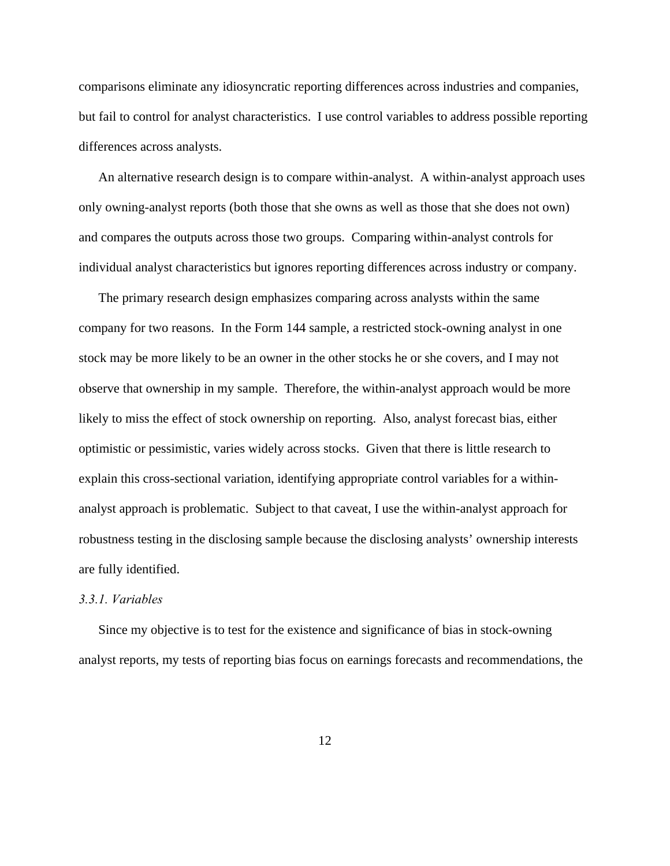comparisons eliminate any idiosyncratic reporting differences across industries and companies, but fail to control for analyst characteristics. I use control variables to address possible reporting differences across analysts.

An alternative research design is to compare within-analyst. A within-analyst approach uses only owning-analyst reports (both those that she owns as well as those that she does not own) and compares the outputs across those two groups. Comparing within-analyst controls for individual analyst characteristics but ignores reporting differences across industry or company.

The primary research design emphasizes comparing across analysts within the same company for two reasons. In the Form 144 sample, a restricted stock-owning analyst in one stock may be more likely to be an owner in the other stocks he or she covers, and I may not observe that ownership in my sample. Therefore, the within-analyst approach would be more likely to miss the effect of stock ownership on reporting. Also, analyst forecast bias, either optimistic or pessimistic, varies widely across stocks. Given that there is little research to explain this cross-sectional variation, identifying appropriate control variables for a withinanalyst approach is problematic. Subject to that caveat, I use the within-analyst approach for robustness testing in the disclosing sample because the disclosing analysts' ownership interests are fully identified.

## *3.3.1. Variables*

Since my objective is to test for the existence and significance of bias in stock-owning analyst reports, my tests of reporting bias focus on earnings forecasts and recommendations, the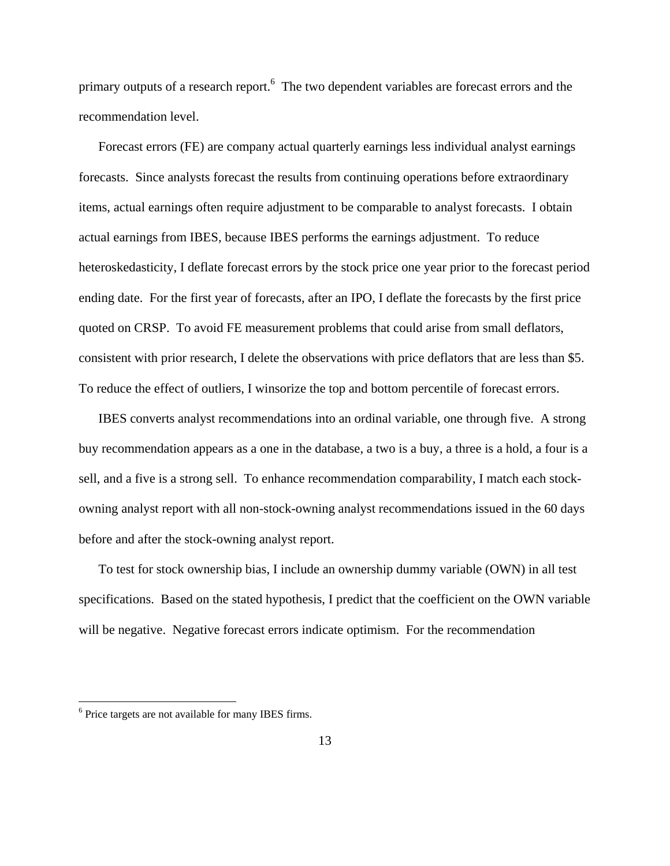primary outputs of a research report.<sup>6</sup> The two dependent variables are forecast errors and the recommendation level.

Forecast errors (FE) are company actual quarterly earnings less individual analyst earnings forecasts. Since analysts forecast the results from continuing operations before extraordinary items, actual earnings often require adjustment to be comparable to analyst forecasts. I obtain actual earnings from IBES, because IBES performs the earnings adjustment. To reduce heteroskedasticity, I deflate forecast errors by the stock price one year prior to the forecast period ending date. For the first year of forecasts, after an IPO, I deflate the forecasts by the first price quoted on CRSP. To avoid FE measurement problems that could arise from small deflators, consistent with prior research, I delete the observations with price deflators that are less than \$5. To reduce the effect of outliers, I winsorize the top and bottom percentile of forecast errors.

IBES converts analyst recommendations into an ordinal variable, one through five. A strong buy recommendation appears as a one in the database, a two is a buy, a three is a hold, a four is a sell, and a five is a strong sell. To enhance recommendation comparability, I match each stockowning analyst report with all non-stock-owning analyst recommendations issued in the 60 days before and after the stock-owning analyst report.

To test for stock ownership bias, I include an ownership dummy variable (OWN) in all test specifications. Based on the stated hypothesis, I predict that the coefficient on the OWN variable will be negative. Negative forecast errors indicate optimism. For the recommendation

1

<sup>&</sup>lt;sup>6</sup> Price targets are not available for many IBES firms.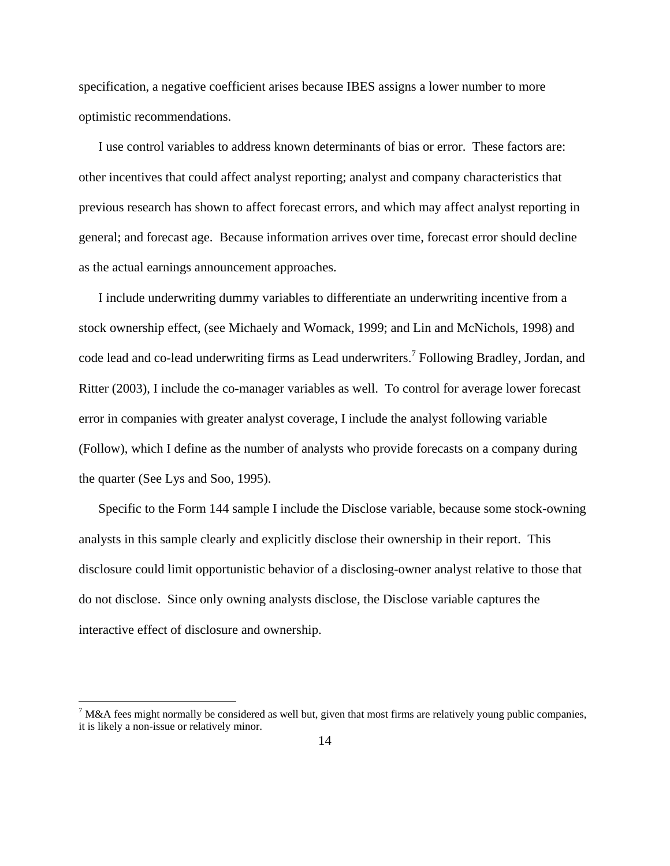specification, a negative coefficient arises because IBES assigns a lower number to more optimistic recommendations.

I use control variables to address known determinants of bias or error. These factors are: other incentives that could affect analyst reporting; analyst and company characteristics that previous research has shown to affect forecast errors, and which may affect analyst reporting in general; and forecast age. Because information arrives over time, forecast error should decline as the actual earnings announcement approaches.

I include underwriting dummy variables to differentiate an underwriting incentive from a stock ownership effect, (see Michaely and Womack, 1999; and Lin and McNichols, 1998) and code lead and co-lead underwriting firms as Lead underwriters.<sup>7</sup> Following Bradley, Jordan, and Ritter (2003), I include the co-manager variables as well. To control for average lower forecast error in companies with greater analyst coverage, I include the analyst following variable (Follow), which I define as the number of analysts who provide forecasts on a company during the quarter (See Lys and Soo, 1995).

Specific to the Form 144 sample I include the Disclose variable, because some stock-owning analysts in this sample clearly and explicitly disclose their ownership in their report. This disclosure could limit opportunistic behavior of a disclosing-owner analyst relative to those that do not disclose. Since only owning analysts disclose, the Disclose variable captures the interactive effect of disclosure and ownership.

1

 $<sup>7</sup>$  M&A fees might normally be considered as well but, given that most firms are relatively young public companies,</sup> it is likely a non-issue or relatively minor.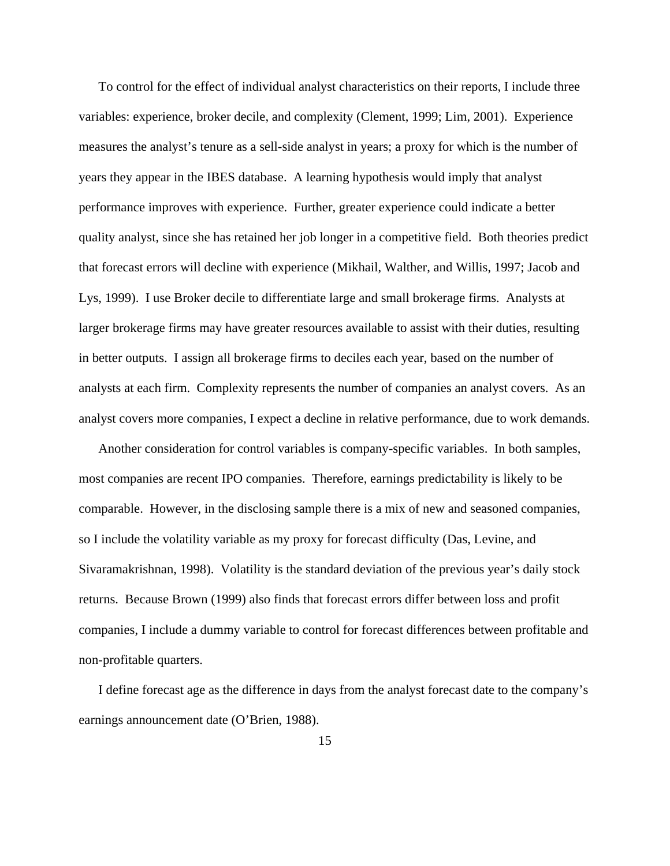To control for the effect of individual analyst characteristics on their reports, I include three variables: experience, broker decile, and complexity (Clement, 1999; Lim, 2001). Experience measures the analyst's tenure as a sell-side analyst in years; a proxy for which is the number of years they appear in the IBES database. A learning hypothesis would imply that analyst performance improves with experience. Further, greater experience could indicate a better quality analyst, since she has retained her job longer in a competitive field. Both theories predict that forecast errors will decline with experience (Mikhail, Walther, and Willis, 1997; Jacob and Lys, 1999). I use Broker decile to differentiate large and small brokerage firms. Analysts at larger brokerage firms may have greater resources available to assist with their duties, resulting in better outputs. I assign all brokerage firms to deciles each year, based on the number of analysts at each firm. Complexity represents the number of companies an analyst covers. As an analyst covers more companies, I expect a decline in relative performance, due to work demands.

Another consideration for control variables is company-specific variables. In both samples, most companies are recent IPO companies. Therefore, earnings predictability is likely to be comparable. However, in the disclosing sample there is a mix of new and seasoned companies, so I include the volatility variable as my proxy for forecast difficulty (Das, Levine, and Sivaramakrishnan, 1998). Volatility is the standard deviation of the previous year's daily stock returns. Because Brown (1999) also finds that forecast errors differ between loss and profit companies, I include a dummy variable to control for forecast differences between profitable and non-profitable quarters.

I define forecast age as the difference in days from the analyst forecast date to the company's earnings announcement date (O'Brien, 1988).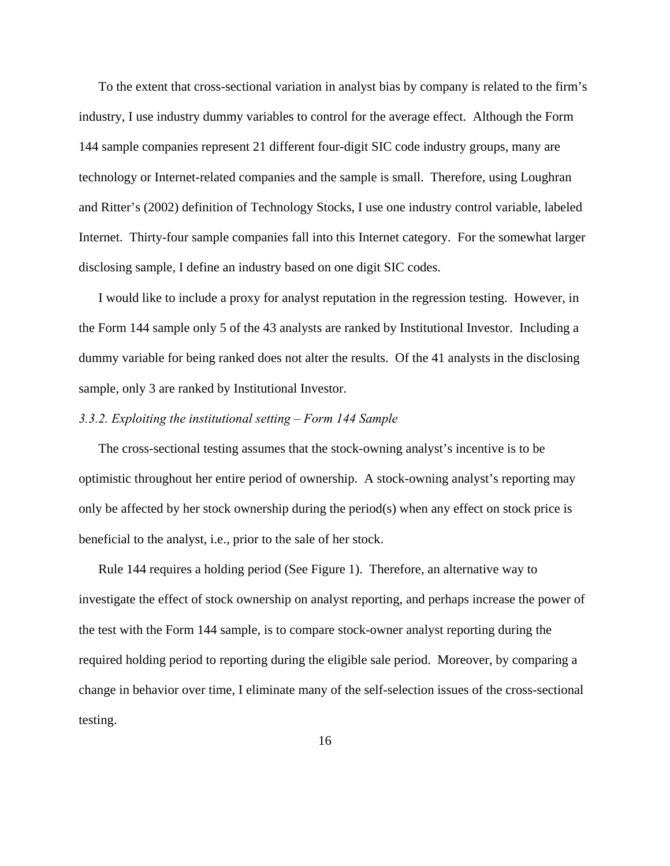To the extent that cross-sectional variation in analyst bias by company is related to the firm's industry, I use industry dummy variables to control for the average effect. Although the Form 144 sample companies represent 21 different four-digit SIC code industry groups, many are technology or Internet-related companies and the sample is small. Therefore, using Loughran and Ritter's (2002) definition of Technology Stocks, I use one industry control variable, labeled Internet. Thirty-four sample companies fall into this Internet category. For the somewhat larger disclosing sample, I define an industry based on one digit SIC codes.

I would like to include a proxy for analyst reputation in the regression testing. However, in the Form 144 sample only 5 of the 43 analysts are ranked by Institutional Investor. Including a dummy variable for being ranked does not alter the results. Of the 41 analysts in the disclosing sample, only 3 are ranked by Institutional Investor.

### *3.3.2. Exploiting the institutional setting – Form 144 Sample*

The cross-sectional testing assumes that the stock-owning analyst's incentive is to be optimistic throughout her entire period of ownership. A stock-owning analyst's reporting may only be affected by her stock ownership during the period(s) when any effect on stock price is beneficial to the analyst, i.e., prior to the sale of her stock.

Rule 144 requires a holding period (See Figure 1). Therefore, an alternative way to investigate the effect of stock ownership on analyst reporting, and perhaps increase the power of the test with the Form 144 sample, is to compare stock-owner analyst reporting during the required holding period to reporting during the eligible sale period. Moreover, by comparing a change in behavior over time, I eliminate many of the self-selection issues of the cross-sectional testing.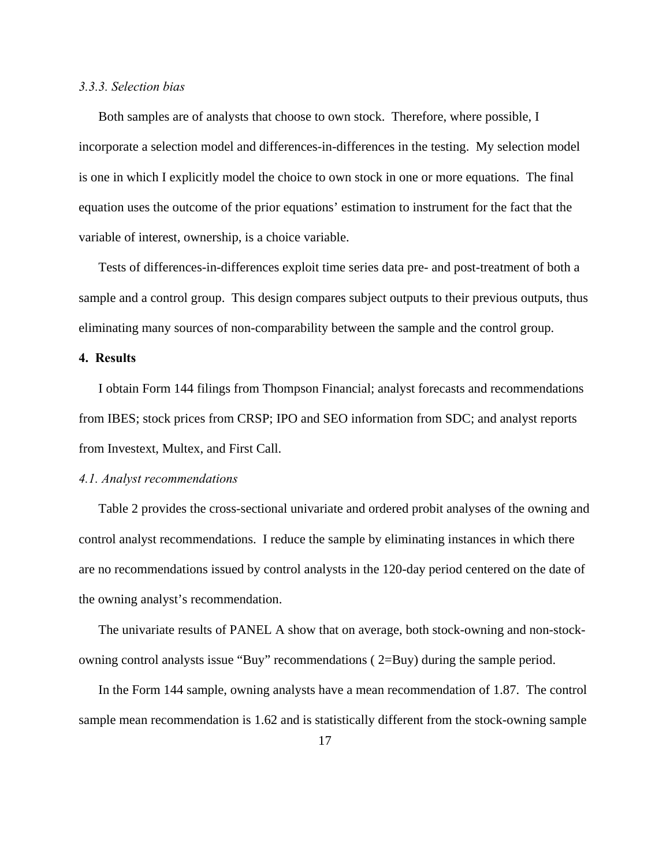### *3.3.3. Selection bias*

Both samples are of analysts that choose to own stock. Therefore, where possible, I incorporate a selection model and differences-in-differences in the testing. My selection model is one in which I explicitly model the choice to own stock in one or more equations. The final equation uses the outcome of the prior equations' estimation to instrument for the fact that the variable of interest, ownership, is a choice variable.

Tests of differences-in-differences exploit time series data pre- and post-treatment of both a sample and a control group. This design compares subject outputs to their previous outputs, thus eliminating many sources of non-comparability between the sample and the control group.

## **4. Results**

I obtain Form 144 filings from Thompson Financial; analyst forecasts and recommendations from IBES; stock prices from CRSP; IPO and SEO information from SDC; and analyst reports from Investext, Multex, and First Call.

### *4.1. Analyst recommendations*

Table 2 provides the cross-sectional univariate and ordered probit analyses of the owning and control analyst recommendations. I reduce the sample by eliminating instances in which there are no recommendations issued by control analysts in the 120-day period centered on the date of the owning analyst's recommendation.

The univariate results of PANEL A show that on average, both stock-owning and non-stockowning control analysts issue "Buy" recommendations ( 2=Buy) during the sample period.

In the Form 144 sample, owning analysts have a mean recommendation of 1.87. The control sample mean recommendation is 1.62 and is statistically different from the stock-owning sample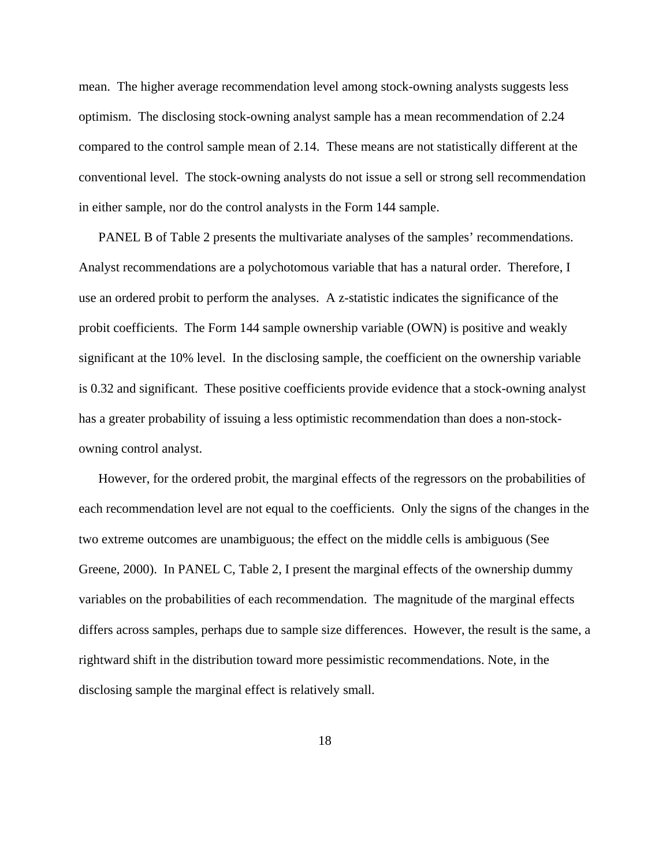mean. The higher average recommendation level among stock-owning analysts suggests less optimism. The disclosing stock-owning analyst sample has a mean recommendation of 2.24 compared to the control sample mean of 2.14. These means are not statistically different at the conventional level. The stock-owning analysts do not issue a sell or strong sell recommendation in either sample, nor do the control analysts in the Form 144 sample.

PANEL B of Table 2 presents the multivariate analyses of the samples' recommendations. Analyst recommendations are a polychotomous variable that has a natural order. Therefore, I use an ordered probit to perform the analyses. A z-statistic indicates the significance of the probit coefficients. The Form 144 sample ownership variable (OWN) is positive and weakly significant at the 10% level. In the disclosing sample, the coefficient on the ownership variable is 0.32 and significant. These positive coefficients provide evidence that a stock-owning analyst has a greater probability of issuing a less optimistic recommendation than does a non-stockowning control analyst.

However, for the ordered probit, the marginal effects of the regressors on the probabilities of each recommendation level are not equal to the coefficients. Only the signs of the changes in the two extreme outcomes are unambiguous; the effect on the middle cells is ambiguous (See Greene, 2000). In PANEL C, Table 2, I present the marginal effects of the ownership dummy variables on the probabilities of each recommendation. The magnitude of the marginal effects differs across samples, perhaps due to sample size differences. However, the result is the same, a rightward shift in the distribution toward more pessimistic recommendations. Note, in the disclosing sample the marginal effect is relatively small.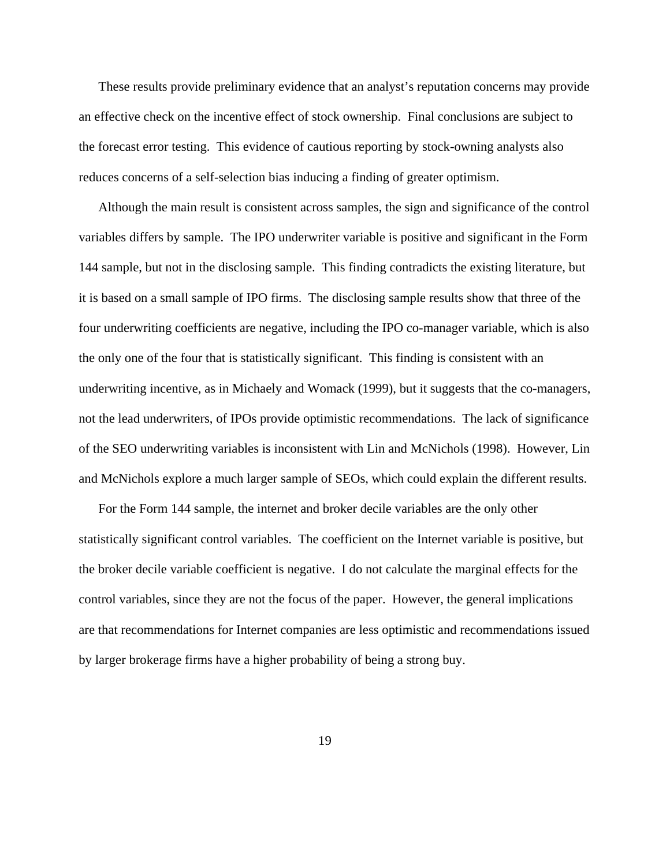These results provide preliminary evidence that an analyst's reputation concerns may provide an effective check on the incentive effect of stock ownership. Final conclusions are subject to the forecast error testing. This evidence of cautious reporting by stock-owning analysts also reduces concerns of a self-selection bias inducing a finding of greater optimism.

Although the main result is consistent across samples, the sign and significance of the control variables differs by sample. The IPO underwriter variable is positive and significant in the Form 144 sample, but not in the disclosing sample. This finding contradicts the existing literature, but it is based on a small sample of IPO firms. The disclosing sample results show that three of the four underwriting coefficients are negative, including the IPO co-manager variable, which is also the only one of the four that is statistically significant. This finding is consistent with an underwriting incentive, as in Michaely and Womack (1999), but it suggests that the co-managers, not the lead underwriters, of IPOs provide optimistic recommendations. The lack of significance of the SEO underwriting variables is inconsistent with Lin and McNichols (1998). However, Lin and McNichols explore a much larger sample of SEOs, which could explain the different results.

For the Form 144 sample, the internet and broker decile variables are the only other statistically significant control variables. The coefficient on the Internet variable is positive, but the broker decile variable coefficient is negative. I do not calculate the marginal effects for the control variables, since they are not the focus of the paper. However, the general implications are that recommendations for Internet companies are less optimistic and recommendations issued by larger brokerage firms have a higher probability of being a strong buy.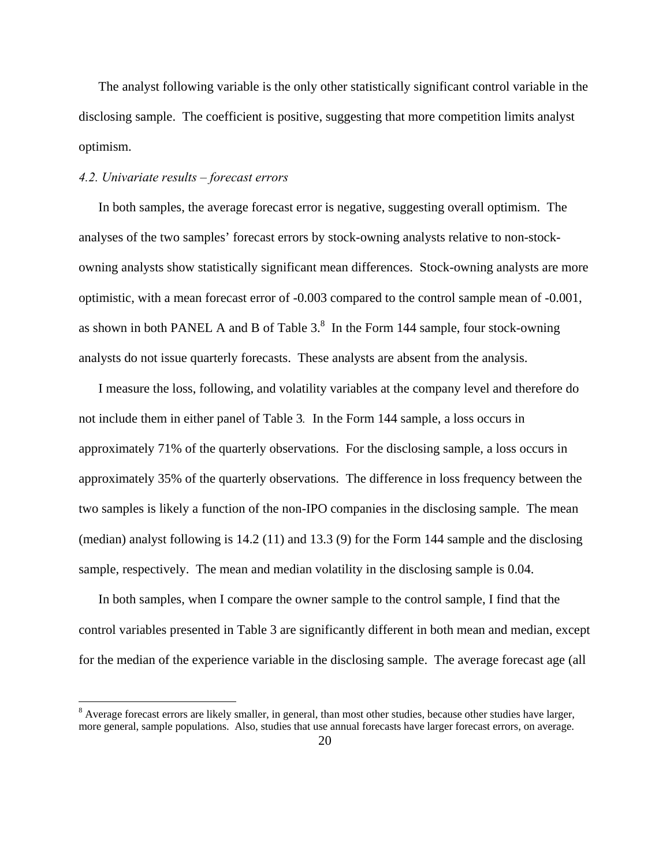The analyst following variable is the only other statistically significant control variable in the disclosing sample. The coefficient is positive, suggesting that more competition limits analyst optimism.

# *4.2. Univariate results – forecast errors*

1

In both samples, the average forecast error is negative, suggesting overall optimism. The analyses of the two samples' forecast errors by stock-owning analysts relative to non-stockowning analysts show statistically significant mean differences. Stock-owning analysts are more optimistic, with a mean forecast error of -0.003 compared to the control sample mean of -0.001, as shown in both PANEL A and B of Table  $3<sup>8</sup>$  In the Form 144 sample, four stock-owning analysts do not issue quarterly forecasts. These analysts are absent from the analysis.

I measure the loss, following, and volatility variables at the company level and therefore do not include them in either panel of Table 3*.* In the Form 144 sample, a loss occurs in approximately 71% of the quarterly observations. For the disclosing sample, a loss occurs in approximately 35% of the quarterly observations. The difference in loss frequency between the two samples is likely a function of the non-IPO companies in the disclosing sample. The mean (median) analyst following is 14.2 (11) and 13.3 (9) for the Form 144 sample and the disclosing sample, respectively. The mean and median volatility in the disclosing sample is 0.04.

In both samples, when I compare the owner sample to the control sample, I find that the control variables presented in Table 3 are significantly different in both mean and median, except for the median of the experience variable in the disclosing sample. The average forecast age (all

<sup>&</sup>lt;sup>8</sup> Average forecast errors are likely smaller, in general, than most other studies, because other studies have larger, more general, sample populations. Also, studies that use annual forecasts have larger forecast errors, on average.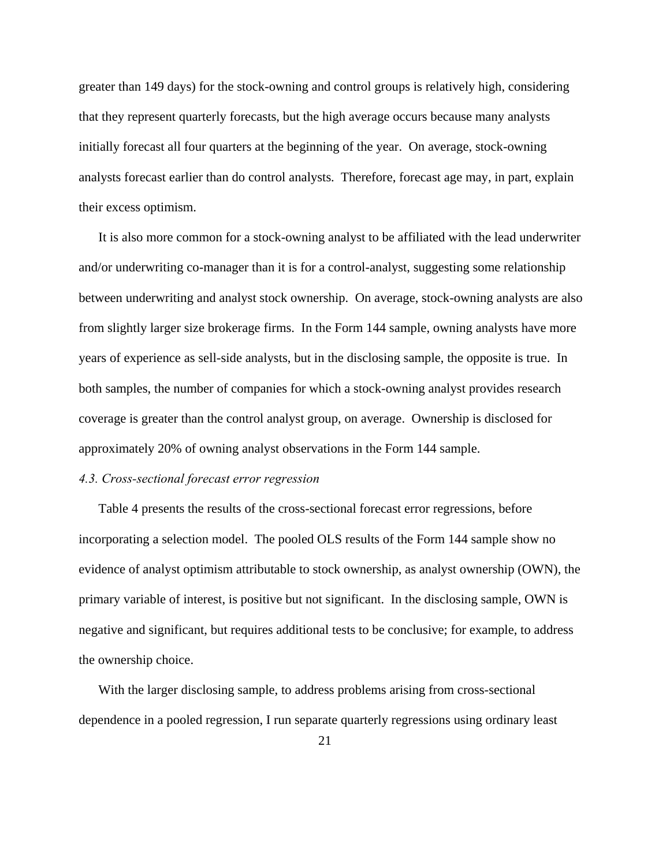greater than 149 days) for the stock-owning and control groups is relatively high, considering that they represent quarterly forecasts, but the high average occurs because many analysts initially forecast all four quarters at the beginning of the year. On average, stock-owning analysts forecast earlier than do control analysts. Therefore, forecast age may, in part, explain their excess optimism.

It is also more common for a stock-owning analyst to be affiliated with the lead underwriter and/or underwriting co-manager than it is for a control-analyst, suggesting some relationship between underwriting and analyst stock ownership. On average, stock-owning analysts are also from slightly larger size brokerage firms. In the Form 144 sample, owning analysts have more years of experience as sell-side analysts, but in the disclosing sample, the opposite is true. In both samples, the number of companies for which a stock-owning analyst provides research coverage is greater than the control analyst group, on average. Ownership is disclosed for approximately 20% of owning analyst observations in the Form 144 sample.

### *4.3. Cross-sectional forecast error regression*

Table 4 presents the results of the cross-sectional forecast error regressions, before incorporating a selection model. The pooled OLS results of the Form 144 sample show no evidence of analyst optimism attributable to stock ownership, as analyst ownership (OWN), the primary variable of interest, is positive but not significant. In the disclosing sample, OWN is negative and significant, but requires additional tests to be conclusive; for example, to address the ownership choice.

With the larger disclosing sample, to address problems arising from cross-sectional dependence in a pooled regression, I run separate quarterly regressions using ordinary least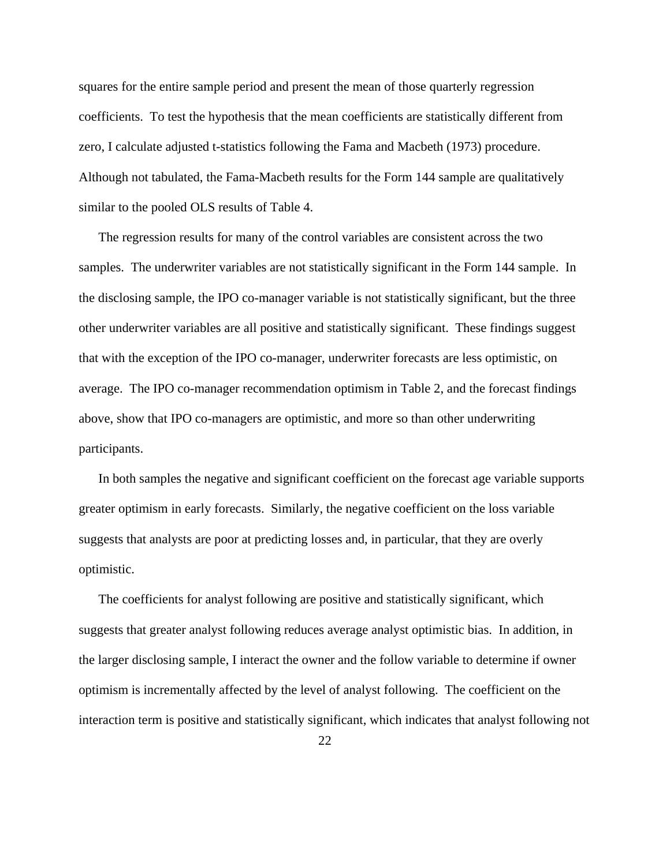squares for the entire sample period and present the mean of those quarterly regression coefficients. To test the hypothesis that the mean coefficients are statistically different from zero, I calculate adjusted t-statistics following the Fama and Macbeth (1973) procedure. Although not tabulated, the Fama-Macbeth results for the Form 144 sample are qualitatively similar to the pooled OLS results of Table 4.

The regression results for many of the control variables are consistent across the two samples. The underwriter variables are not statistically significant in the Form 144 sample. In the disclosing sample, the IPO co-manager variable is not statistically significant, but the three other underwriter variables are all positive and statistically significant. These findings suggest that with the exception of the IPO co-manager, underwriter forecasts are less optimistic, on average. The IPO co-manager recommendation optimism in Table 2, and the forecast findings above, show that IPO co-managers are optimistic, and more so than other underwriting participants.

In both samples the negative and significant coefficient on the forecast age variable supports greater optimism in early forecasts. Similarly, the negative coefficient on the loss variable suggests that analysts are poor at predicting losses and, in particular, that they are overly optimistic.

The coefficients for analyst following are positive and statistically significant, which suggests that greater analyst following reduces average analyst optimistic bias. In addition, in the larger disclosing sample, I interact the owner and the follow variable to determine if owner optimism is incrementally affected by the level of analyst following. The coefficient on the interaction term is positive and statistically significant, which indicates that analyst following not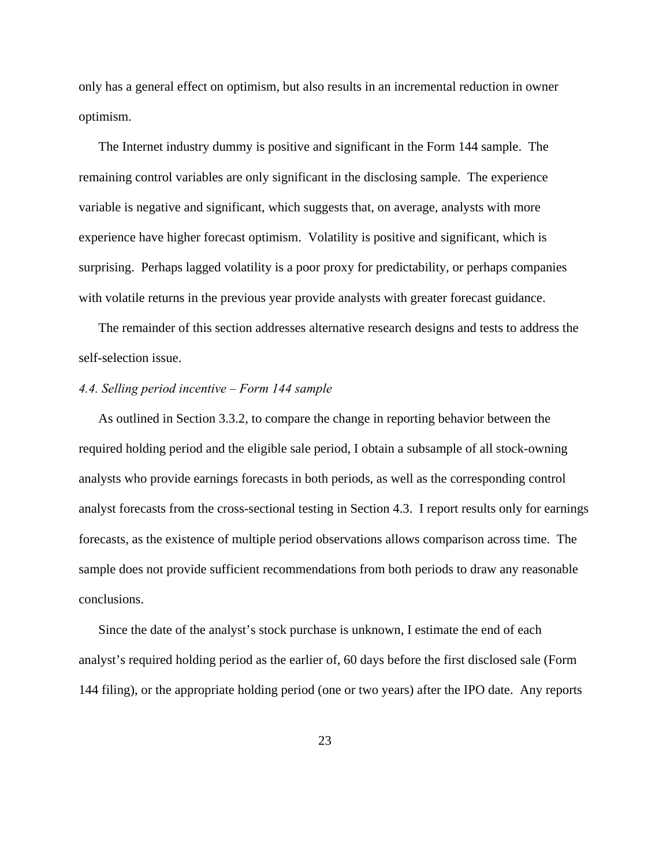only has a general effect on optimism, but also results in an incremental reduction in owner optimism.

The Internet industry dummy is positive and significant in the Form 144 sample. The remaining control variables are only significant in the disclosing sample. The experience variable is negative and significant, which suggests that, on average, analysts with more experience have higher forecast optimism. Volatility is positive and significant, which is surprising. Perhaps lagged volatility is a poor proxy for predictability, or perhaps companies with volatile returns in the previous year provide analysts with greater forecast guidance.

The remainder of this section addresses alternative research designs and tests to address the self-selection issue.

# *4.4. Selling period incentive – Form 144 sample*

As outlined in Section 3.3.2, to compare the change in reporting behavior between the required holding period and the eligible sale period, I obtain a subsample of all stock-owning analysts who provide earnings forecasts in both periods, as well as the corresponding control analyst forecasts from the cross-sectional testing in Section 4.3. I report results only for earnings forecasts, as the existence of multiple period observations allows comparison across time. The sample does not provide sufficient recommendations from both periods to draw any reasonable conclusions.

Since the date of the analyst's stock purchase is unknown, I estimate the end of each analyst's required holding period as the earlier of, 60 days before the first disclosed sale (Form 144 filing), or the appropriate holding period (one or two years) after the IPO date. Any reports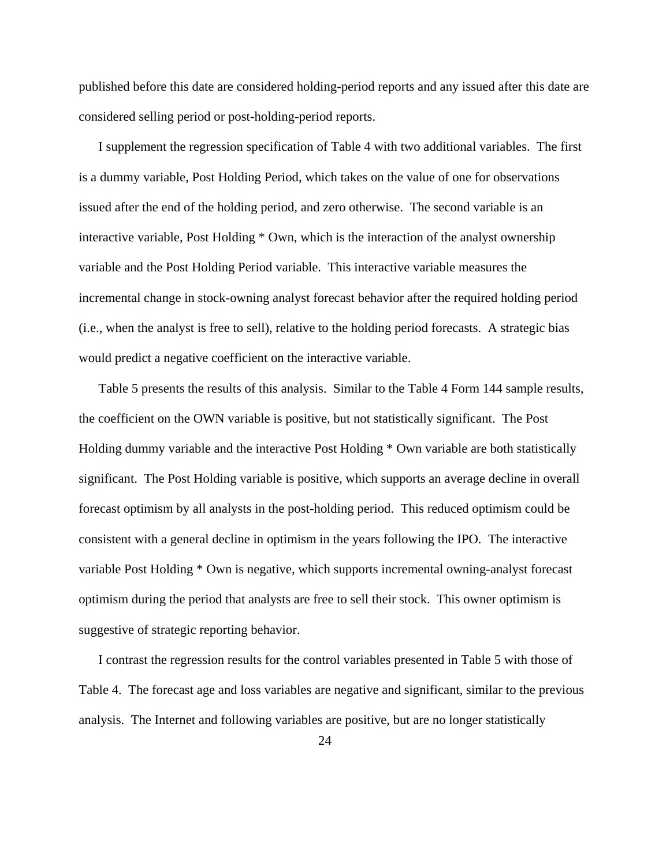published before this date are considered holding-period reports and any issued after this date are considered selling period or post-holding-period reports.

I supplement the regression specification of Table 4 with two additional variables. The first is a dummy variable, Post Holding Period, which takes on the value of one for observations issued after the end of the holding period, and zero otherwise. The second variable is an interactive variable, Post Holding \* Own, which is the interaction of the analyst ownership variable and the Post Holding Period variable. This interactive variable measures the incremental change in stock-owning analyst forecast behavior after the required holding period (i.e., when the analyst is free to sell), relative to the holding period forecasts. A strategic bias would predict a negative coefficient on the interactive variable.

Table 5 presents the results of this analysis. Similar to the Table 4 Form 144 sample results, the coefficient on the OWN variable is positive, but not statistically significant. The Post Holding dummy variable and the interactive Post Holding \* Own variable are both statistically significant. The Post Holding variable is positive, which supports an average decline in overall forecast optimism by all analysts in the post-holding period. This reduced optimism could be consistent with a general decline in optimism in the years following the IPO. The interactive variable Post Holding \* Own is negative, which supports incremental owning-analyst forecast optimism during the period that analysts are free to sell their stock. This owner optimism is suggestive of strategic reporting behavior.

I contrast the regression results for the control variables presented in Table 5 with those of Table 4. The forecast age and loss variables are negative and significant, similar to the previous analysis. The Internet and following variables are positive, but are no longer statistically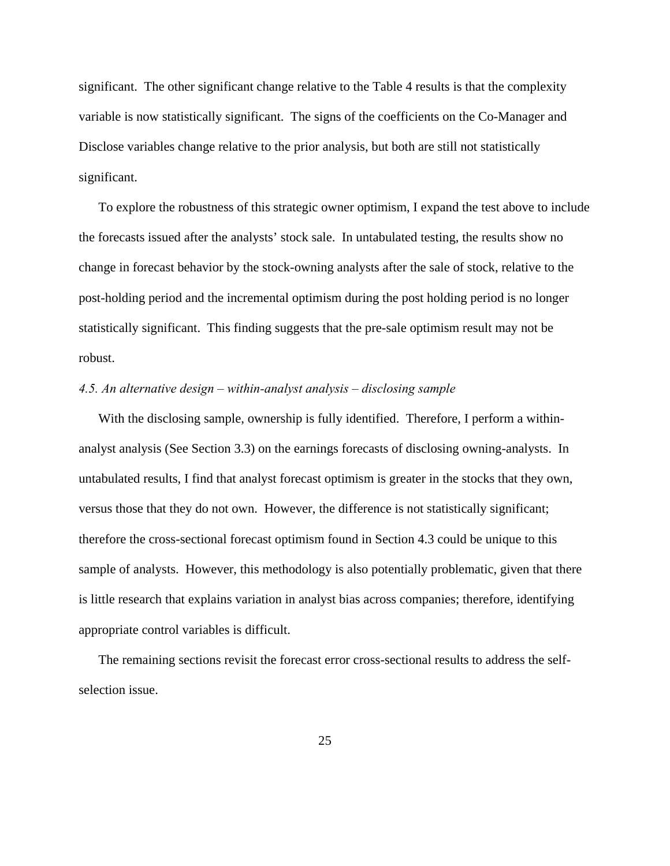significant. The other significant change relative to the Table 4 results is that the complexity variable is now statistically significant. The signs of the coefficients on the Co-Manager and Disclose variables change relative to the prior analysis, but both are still not statistically significant.

To explore the robustness of this strategic owner optimism, I expand the test above to include the forecasts issued after the analysts' stock sale. In untabulated testing, the results show no change in forecast behavior by the stock-owning analysts after the sale of stock, relative to the post-holding period and the incremental optimism during the post holding period is no longer statistically significant. This finding suggests that the pre-sale optimism result may not be robust.

# *4.5. An alternative design – within-analyst analysis – disclosing sample*

With the disclosing sample, ownership is fully identified. Therefore, I perform a withinanalyst analysis (See Section 3.3) on the earnings forecasts of disclosing owning-analysts. In untabulated results, I find that analyst forecast optimism is greater in the stocks that they own, versus those that they do not own. However, the difference is not statistically significant; therefore the cross-sectional forecast optimism found in Section 4.3 could be unique to this sample of analysts. However, this methodology is also potentially problematic, given that there is little research that explains variation in analyst bias across companies; therefore, identifying appropriate control variables is difficult.

The remaining sections revisit the forecast error cross-sectional results to address the selfselection issue.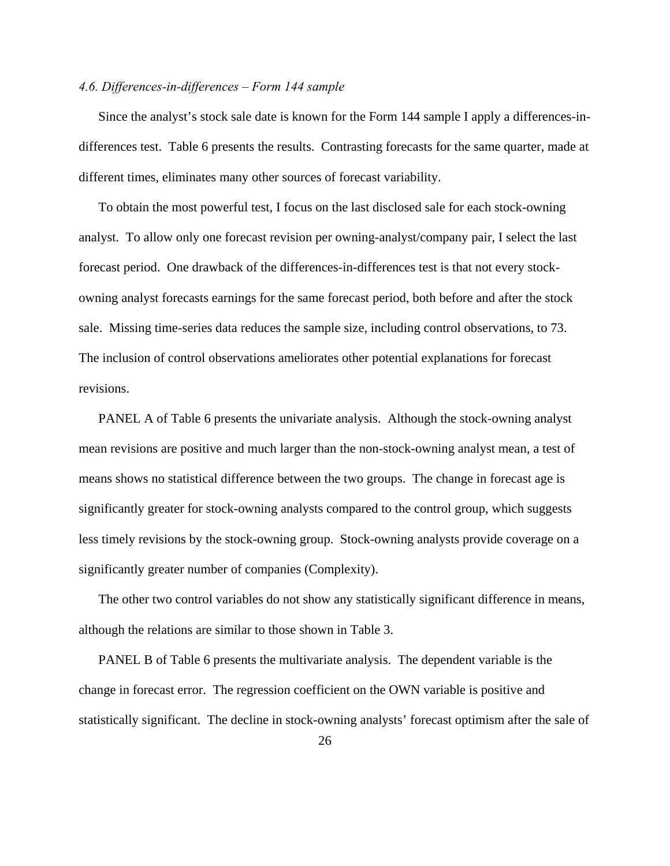# *4.6. Differences-in-differences – Form 144 sample*

Since the analyst's stock sale date is known for the Form 144 sample I apply a differences-indifferences test. Table 6 presents the results. Contrasting forecasts for the same quarter, made at different times, eliminates many other sources of forecast variability.

To obtain the most powerful test, I focus on the last disclosed sale for each stock-owning analyst. To allow only one forecast revision per owning-analyst/company pair, I select the last forecast period. One drawback of the differences-in-differences test is that not every stockowning analyst forecasts earnings for the same forecast period, both before and after the stock sale. Missing time-series data reduces the sample size, including control observations, to 73. The inclusion of control observations ameliorates other potential explanations for forecast revisions.

PANEL A of Table 6 presents the univariate analysis. Although the stock-owning analyst mean revisions are positive and much larger than the non-stock-owning analyst mean, a test of means shows no statistical difference between the two groups. The change in forecast age is significantly greater for stock-owning analysts compared to the control group, which suggests less timely revisions by the stock-owning group. Stock-owning analysts provide coverage on a significantly greater number of companies (Complexity).

The other two control variables do not show any statistically significant difference in means, although the relations are similar to those shown in Table 3.

PANEL B of Table 6 presents the multivariate analysis. The dependent variable is the change in forecast error. The regression coefficient on the OWN variable is positive and statistically significant. The decline in stock-owning analysts' forecast optimism after the sale of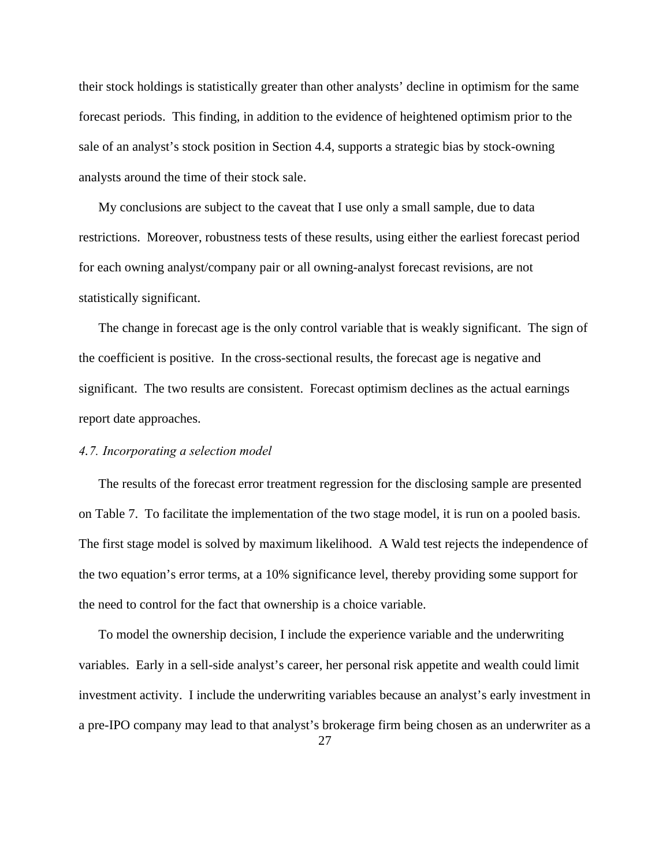their stock holdings is statistically greater than other analysts' decline in optimism for the same forecast periods. This finding, in addition to the evidence of heightened optimism prior to the sale of an analyst's stock position in Section 4.4, supports a strategic bias by stock-owning analysts around the time of their stock sale.

My conclusions are subject to the caveat that I use only a small sample, due to data restrictions. Moreover, robustness tests of these results, using either the earliest forecast period for each owning analyst/company pair or all owning-analyst forecast revisions, are not statistically significant.

The change in forecast age is the only control variable that is weakly significant. The sign of the coefficient is positive.In the cross-sectional results, the forecast age is negative and significant. The two results are consistent. Forecast optimism declines as the actual earnings report date approaches.

### *4.7. Incorporating a selection model*

The results of the forecast error treatment regression for the disclosing sample are presented on Table 7. To facilitate the implementation of the two stage model, it is run on a pooled basis. The first stage model is solved by maximum likelihood. A Wald test rejects the independence of the two equation's error terms, at a 10% significance level, thereby providing some support for the need to control for the fact that ownership is a choice variable.

To model the ownership decision, I include the experience variable and the underwriting variables. Early in a sell-side analyst's career, her personal risk appetite and wealth could limit investment activity. I include the underwriting variables because an analyst's early investment in a pre-IPO company may lead to that analyst's brokerage firm being chosen as an underwriter as a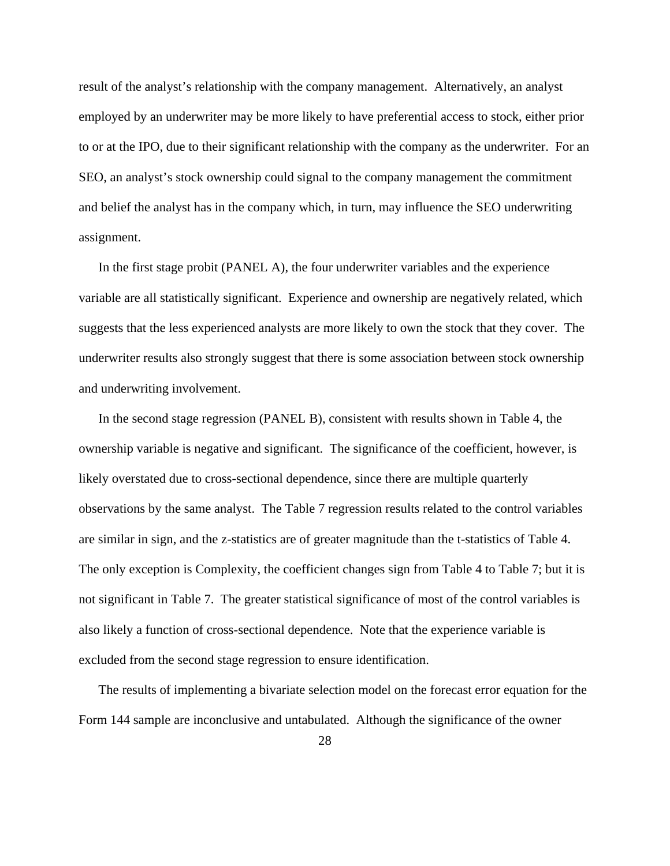result of the analyst's relationship with the company management. Alternatively, an analyst employed by an underwriter may be more likely to have preferential access to stock, either prior to or at the IPO, due to their significant relationship with the company as the underwriter. For an SEO, an analyst's stock ownership could signal to the company management the commitment and belief the analyst has in the company which, in turn, may influence the SEO underwriting assignment.

In the first stage probit (PANEL A), the four underwriter variables and the experience variable are all statistically significant. Experience and ownership are negatively related, which suggests that the less experienced analysts are more likely to own the stock that they cover. The underwriter results also strongly suggest that there is some association between stock ownership and underwriting involvement.

In the second stage regression (PANEL B), consistent with results shown in Table 4, the ownership variable is negative and significant. The significance of the coefficient, however, is likely overstated due to cross-sectional dependence, since there are multiple quarterly observations by the same analyst. The Table 7 regression results related to the control variables are similar in sign, and the z-statistics are of greater magnitude than the t-statistics of Table 4. The only exception is Complexity, the coefficient changes sign from Table 4 to Table 7; but it is not significant in Table 7. The greater statistical significance of most of the control variables is also likely a function of cross-sectional dependence. Note that the experience variable is excluded from the second stage regression to ensure identification.

The results of implementing a bivariate selection model on the forecast error equation for the Form 144 sample are inconclusive and untabulated. Although the significance of the owner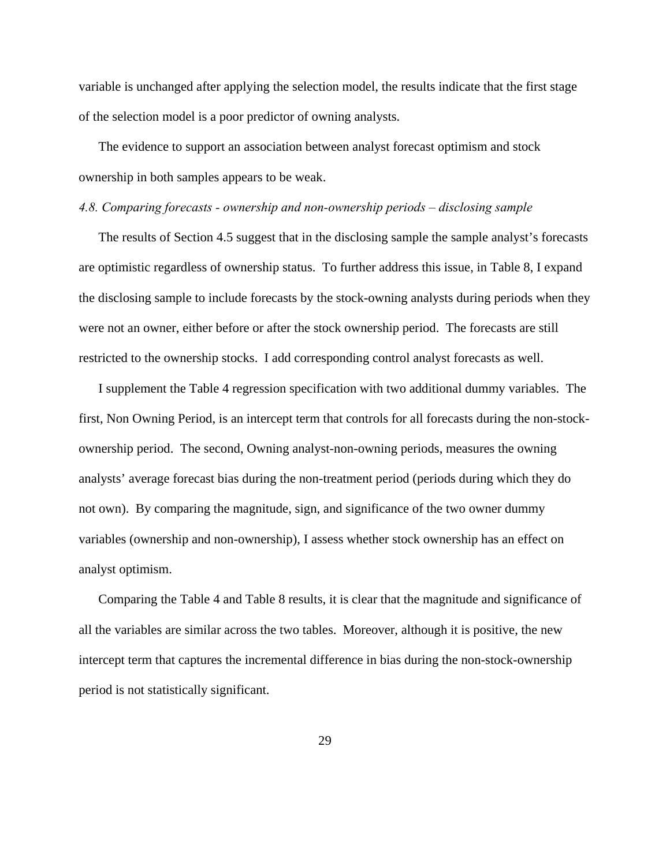variable is unchanged after applying the selection model, the results indicate that the first stage of the selection model is a poor predictor of owning analysts.

The evidence to support an association between analyst forecast optimism and stock ownership in both samples appears to be weak.

#### *4.8. Comparing forecasts - ownership and non-ownership periods – disclosing sample*

The results of Section 4.5 suggest that in the disclosing sample the sample analyst's forecasts are optimistic regardless of ownership status. To further address this issue, in Table 8, I expand the disclosing sample to include forecasts by the stock-owning analysts during periods when they were not an owner, either before or after the stock ownership period. The forecasts are still restricted to the ownership stocks. I add corresponding control analyst forecasts as well.

I supplement the Table 4 regression specification with two additional dummy variables. The first, Non Owning Period, is an intercept term that controls for all forecasts during the non-stockownership period. The second, Owning analyst-non-owning periods, measures the owning analysts' average forecast bias during the non-treatment period (periods during which they do not own). By comparing the magnitude, sign, and significance of the two owner dummy variables (ownership and non-ownership), I assess whether stock ownership has an effect on analyst optimism.

Comparing the Table 4 and Table 8 results, it is clear that the magnitude and significance of all the variables are similar across the two tables. Moreover, although it is positive, the new intercept term that captures the incremental difference in bias during the non-stock-ownership period is not statistically significant.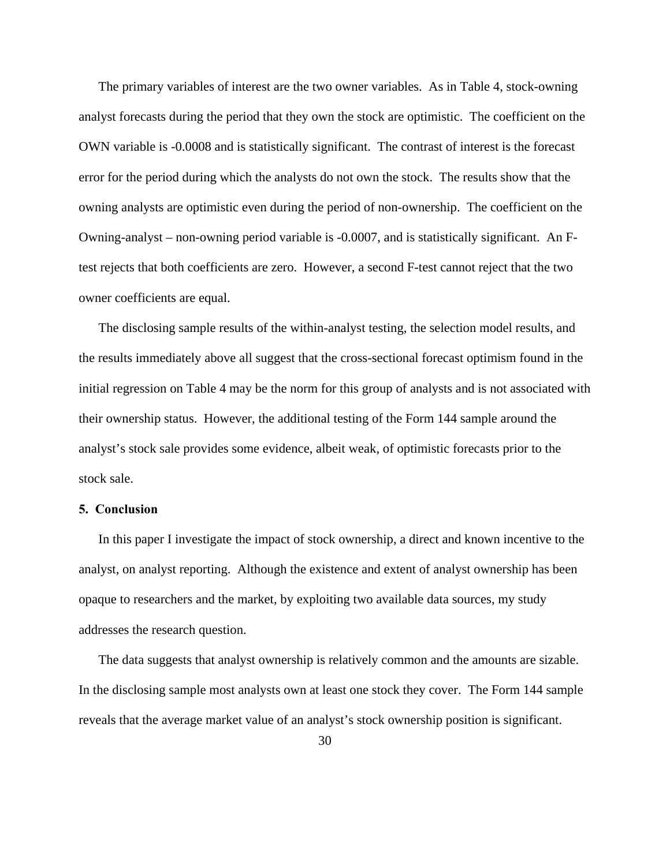The primary variables of interest are the two owner variables. As in Table 4, stock-owning analyst forecasts during the period that they own the stock are optimistic. The coefficient on the OWN variable is -0.0008 and is statistically significant. The contrast of interest is the forecast error for the period during which the analysts do not own the stock. The results show that the owning analysts are optimistic even during the period of non-ownership. The coefficient on the Owning-analyst – non-owning period variable is -0.0007, and is statistically significant. An Ftest rejects that both coefficients are zero. However, a second F-test cannot reject that the two owner coefficients are equal.

The disclosing sample results of the within-analyst testing, the selection model results, and the results immediately above all suggest that the cross-sectional forecast optimism found in the initial regression on Table 4 may be the norm for this group of analysts and is not associated with their ownership status. However, the additional testing of the Form 144 sample around the analyst's stock sale provides some evidence, albeit weak, of optimistic forecasts prior to the stock sale.

# **5. Conclusion**

In this paper I investigate the impact of stock ownership, a direct and known incentive to the analyst, on analyst reporting. Although the existence and extent of analyst ownership has been opaque to researchers and the market, by exploiting two available data sources, my study addresses the research question.

The data suggests that analyst ownership is relatively common and the amounts are sizable. In the disclosing sample most analysts own at least one stock they cover. The Form 144 sample reveals that the average market value of an analyst's stock ownership position is significant.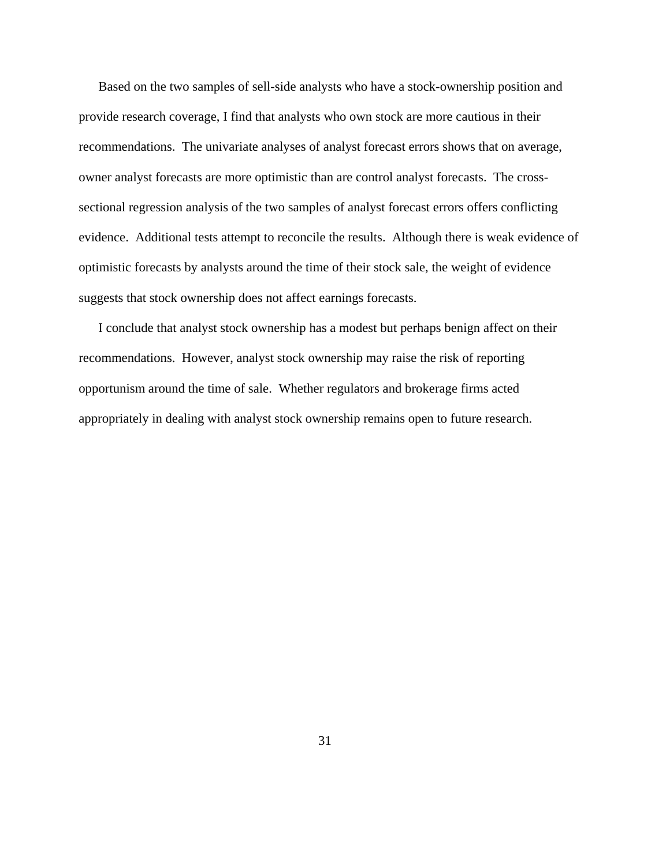Based on the two samples of sell-side analysts who have a stock-ownership position and provide research coverage, I find that analysts who own stock are more cautious in their recommendations. The univariate analyses of analyst forecast errors shows that on average, owner analyst forecasts are more optimistic than are control analyst forecasts. The crosssectional regression analysis of the two samples of analyst forecast errors offers conflicting evidence. Additional tests attempt to reconcile the results. Although there is weak evidence of optimistic forecasts by analysts around the time of their stock sale, the weight of evidence suggests that stock ownership does not affect earnings forecasts.

I conclude that analyst stock ownership has a modest but perhaps benign affect on their recommendations. However, analyst stock ownership may raise the risk of reporting opportunism around the time of sale. Whether regulators and brokerage firms acted appropriately in dealing with analyst stock ownership remains open to future research.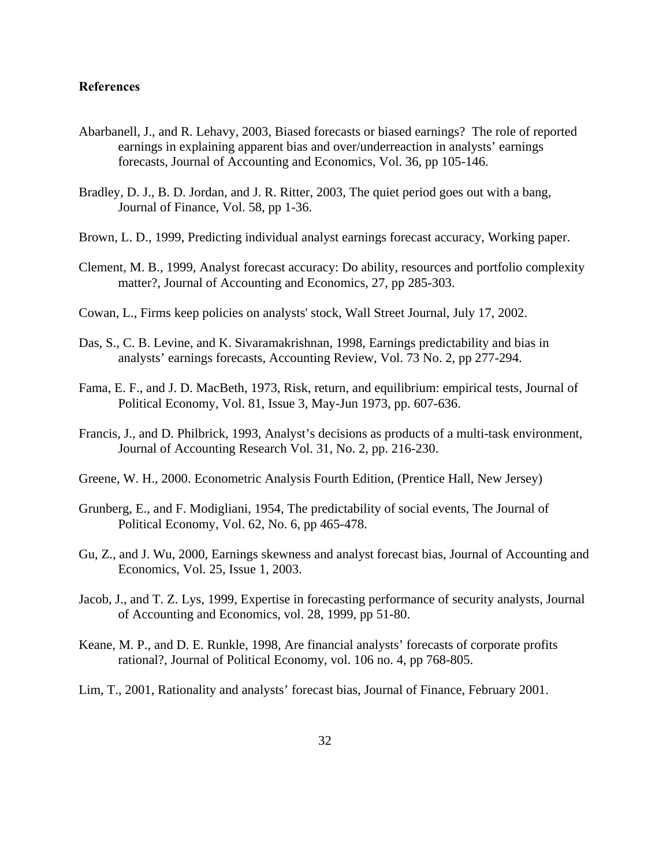# **References**

- Abarbanell, J., and R. Lehavy, 2003, Biased forecasts or biased earnings? The role of reported earnings in explaining apparent bias and over/underreaction in analysts' earnings forecasts, Journal of Accounting and Economics, Vol. 36, pp 105-146.
- Bradley, D. J., B. D. Jordan, and J. R. Ritter, 2003, The quiet period goes out with a bang, Journal of Finance, Vol. 58, pp 1-36.
- Brown, L. D., 1999, Predicting individual analyst earnings forecast accuracy, Working paper.
- Clement, M. B., 1999, Analyst forecast accuracy: Do ability, resources and portfolio complexity matter?, Journal of Accounting and Economics, 27, pp 285-303.
- Cowan, L., Firms keep policies on analysts' stock, Wall Street Journal, July 17, 2002.
- Das, S., C. B. Levine, and K. Sivaramakrishnan, 1998, Earnings predictability and bias in analysts' earnings forecasts, Accounting Review, Vol. 73 No. 2, pp 277-294.
- Fama, E. F., and J. D. MacBeth, 1973, Risk, return, and equilibrium: empirical tests, Journal of Political Economy, Vol. 81, Issue 3, May-Jun 1973, pp. 607-636.
- Francis, J., and D. Philbrick, 1993, Analyst's decisions as products of a multi-task environment, Journal of Accounting Research Vol. 31, No. 2, pp. 216-230.
- Greene, W. H., 2000. Econometric Analysis Fourth Edition, (Prentice Hall, New Jersey)
- Grunberg, E., and F. Modigliani, 1954, The predictability of social events, The Journal of Political Economy, Vol. 62, No. 6, pp 465-478.
- Gu, Z., and J. Wu, 2000, Earnings skewness and analyst forecast bias, Journal of Accounting and Economics, Vol. 25, Issue 1, 2003.
- Jacob, J., and T. Z. Lys, 1999, Expertise in forecasting performance of security analysts, Journal of Accounting and Economics, vol. 28, 1999, pp 51-80.
- Keane, M. P., and D. E. Runkle, 1998, Are financial analysts' forecasts of corporate profits rational?, Journal of Political Economy, vol. 106 no. 4, pp 768-805.
- Lim, T., 2001, Rationality and analysts' forecast bias, Journal of Finance, February 2001.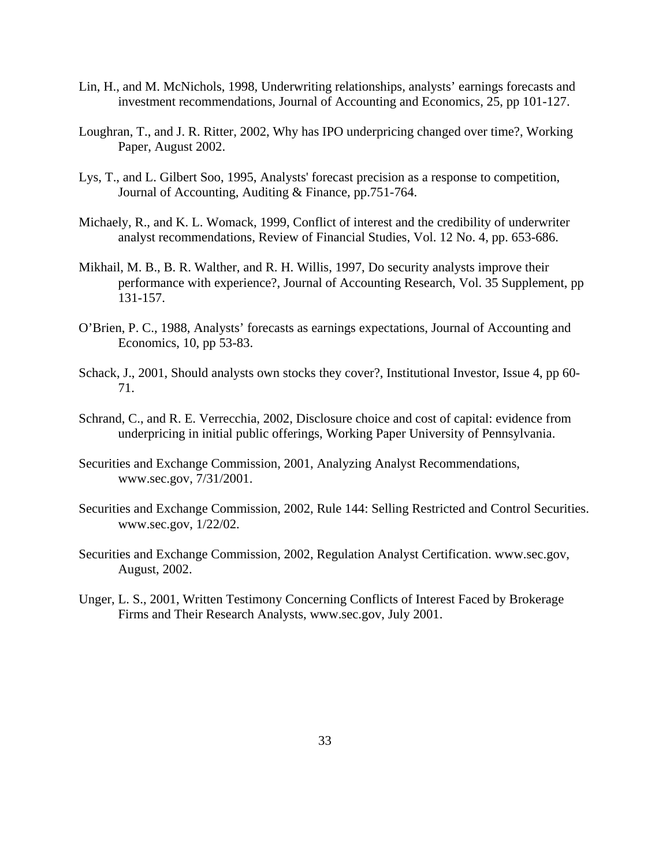- Lin, H., and M. McNichols, 1998, Underwriting relationships, analysts' earnings forecasts and investment recommendations, Journal of Accounting and Economics, 25, pp 101-127.
- Loughran, T., and J. R. Ritter, 2002, Why has IPO underpricing changed over time?, Working Paper, August 2002.
- Lys, T., and L. Gilbert Soo, 1995, Analysts' forecast precision as a response to competition, Journal of Accounting, Auditing & Finance, pp.751-764.
- Michaely, R., and K. L. Womack, 1999, Conflict of interest and the credibility of underwriter analyst recommendations, Review of Financial Studies, Vol. 12 No. 4, pp. 653-686.
- Mikhail, M. B., B. R. Walther, and R. H. Willis, 1997, Do security analysts improve their performance with experience?, Journal of Accounting Research, Vol. 35 Supplement, pp 131-157.
- O'Brien, P. C., 1988, Analysts' forecasts as earnings expectations, Journal of Accounting and Economics, 10, pp 53-83.
- Schack, J., 2001, Should analysts own stocks they cover?, Institutional Investor, Issue 4, pp 60- 71.
- Schrand, C., and R. E. Verrecchia, 2002, Disclosure choice and cost of capital: evidence from underpricing in initial public offerings, Working Paper University of Pennsylvania.
- Securities and Exchange Commission, 2001, Analyzing Analyst Recommendations, www.sec.gov, 7/31/2001.
- Securities and Exchange Commission, 2002, Rule 144: Selling Restricted and Control Securities. www.sec.gov, 1/22/02.
- Securities and Exchange Commission, 2002, Regulation Analyst Certification. www.sec.gov, August, 2002.
- Unger, L. S., 2001, Written Testimony Concerning Conflicts of Interest Faced by Brokerage Firms and Their Research Analysts, www.sec.gov, July 2001.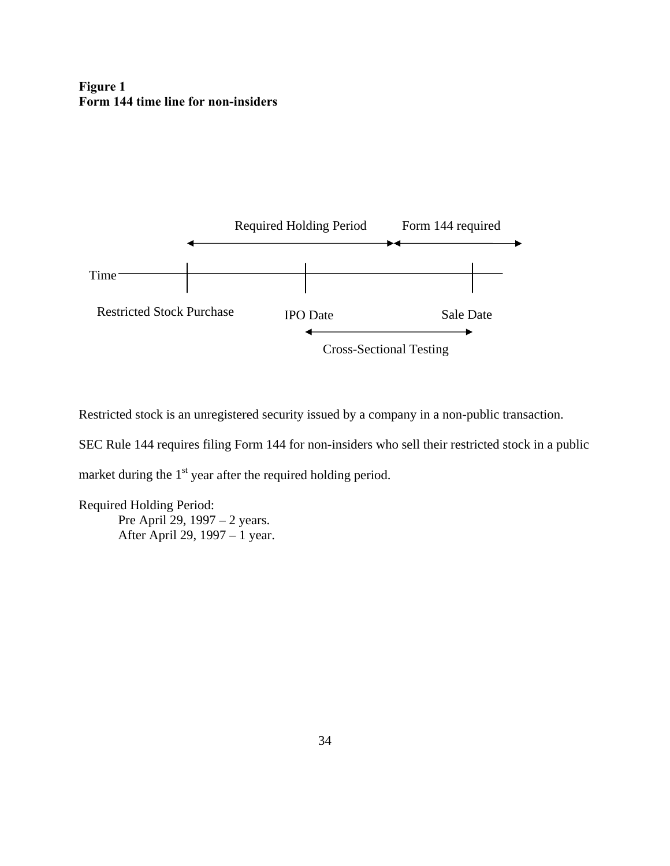# **Figure 1 Form 144 time line for non-insiders**



Restricted stock is an unregistered security issued by a company in a non-public transaction.

SEC Rule 144 requires filing Form 144 for non-insiders who sell their restricted stock in a public

market during the  $1<sup>st</sup>$  year after the required holding period.

Required Holding Period: Pre April 29, 1997 – 2 years. After April 29, 1997 – 1 year.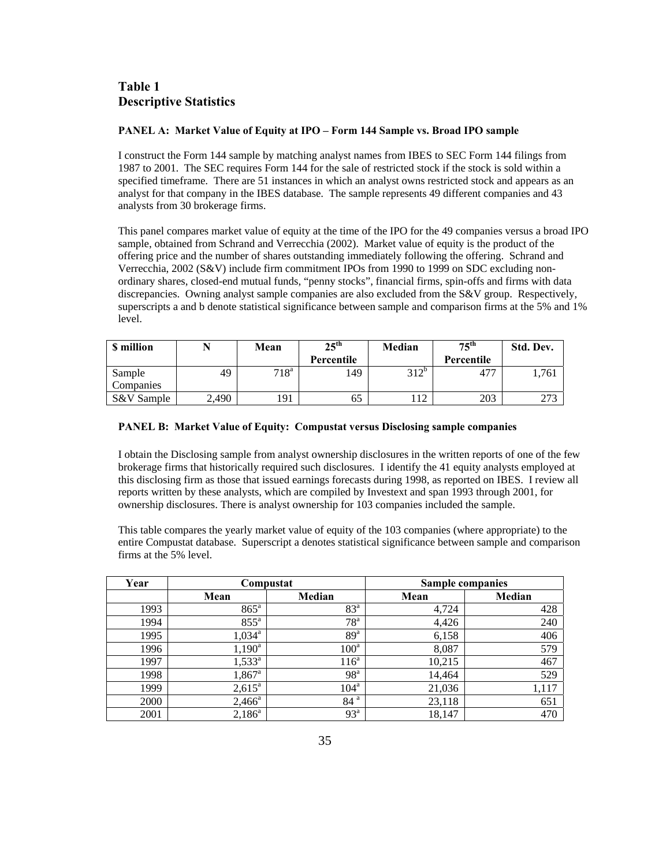# **Table 1 Descriptive Statistics**

#### **PANEL A: Market Value of Equity at IPO – Form 144 Sample vs. Broad IPO sample**

I construct the Form 144 sample by matching analyst names from IBES to SEC Form 144 filings from 1987 to 2001. The SEC requires Form 144 for the sale of restricted stock if the stock is sold within a specified timeframe. There are 51 instances in which an analyst owns restricted stock and appears as an analyst for that company in the IBES database. The sample represents 49 different companies and 43 analysts from 30 brokerage firms.

This panel compares market value of equity at the time of the IPO for the 49 companies versus a broad IPO sample, obtained from Schrand and Verrecchia (2002). Market value of equity is the product of the offering price and the number of shares outstanding immediately following the offering. Schrand and Verrecchia, 2002 (S&V) include firm commitment IPOs from 1990 to 1999 on SDC excluding nonordinary shares, closed-end mutual funds, "penny stocks", financial firms, spin-offs and firms with data discrepancies. Owning analyst sample companies are also excluded from the S&V group. Respectively, superscripts a and b denote statistical significance between sample and comparison firms at the 5% and 1% level.

| <b>S</b> million |       | Mean          | $25^{\text{th}}$ | Median  | $75^{\text{th}}$ | Std. Dev. |
|------------------|-------|---------------|------------------|---------|------------------|-----------|
|                  |       |               | Percentile       |         | Percentile       |           |
| Sample           | 49    | $718^{\rm a}$ | 149              | $312^b$ | 477              | 1.761     |
| Companies        |       |               |                  |         |                  |           |
| S&V Sample       | 2,490 | 191           | 65               | 11      | 203              | 273       |

#### **PANEL B: Market Value of Equity: Compustat versus Disclosing sample companies**

I obtain the Disclosing sample from analyst ownership disclosures in the written reports of one of the few brokerage firms that historically required such disclosures. I identify the 41 equity analysts employed at this disclosing firm as those that issued earnings forecasts during 1998, as reported on IBES. I review all reports written by these analysts, which are compiled by Investext and span 1993 through 2001, for ownership disclosures. There is analyst ownership for 103 companies included the sample.

This table compares the yearly market value of equity of the 103 companies (where appropriate) to the entire Compustat database. Superscript a denotes statistical significance between sample and comparison firms at the 5% level.

| Year |                 | Compustat        |        | <b>Sample companies</b> |
|------|-----------------|------------------|--------|-------------------------|
|      | Mean            | Median           | Mean   | Median                  |
| 1993 | $865^{\circ}$   | 83 <sup>a</sup>  | 4.724  | 428                     |
| 1994 | $855^{\circ}$   | 78 <sup>a</sup>  | 4,426  | 240                     |
| 1995 | $1,034^{\rm a}$ | 89 <sup>a</sup>  | 6,158  | 406                     |
| 1996 | $1,190^{\rm a}$ | $100^a$          | 8,087  | 579                     |
| 1997 | $1,533^{\rm a}$ | 116 <sup>a</sup> | 10,215 | 467                     |
| 1998 | $1,867^{\rm a}$ | 98 <sup>a</sup>  | 14,464 | 529                     |
| 1999 | $2,615^{\circ}$ | $104^{\text{a}}$ | 21,036 | 1,117                   |
| 2000 | $2,466^{\circ}$ | 84 <sup>a</sup>  | 23,118 | 651                     |
| 2001 | $2,186^a$       | 93 <sup>a</sup>  | 18,147 | 470                     |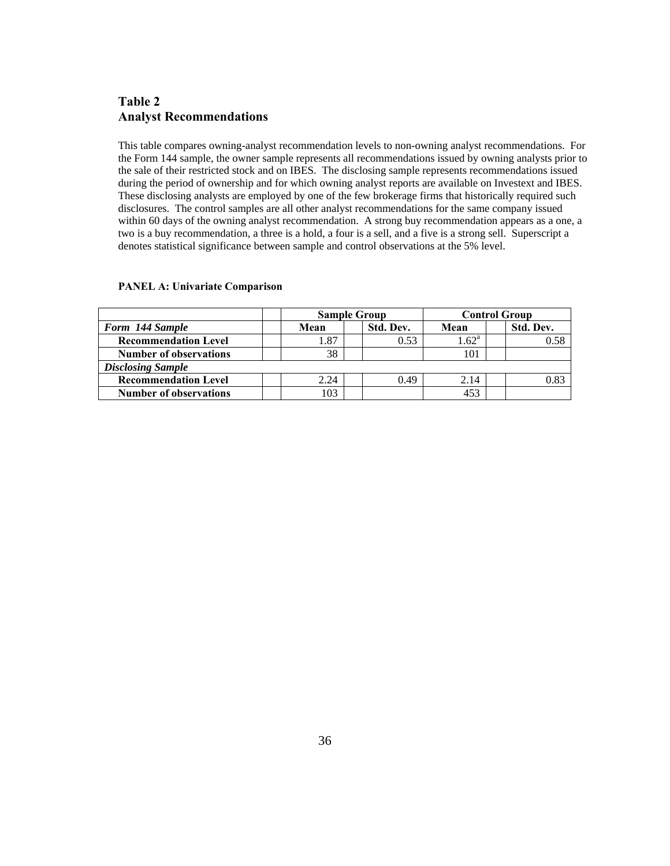# **Table 2 Analyst Recommendations**

This table compares owning-analyst recommendation levels to non-owning analyst recommendations. For the Form 144 sample, the owner sample represents all recommendations issued by owning analysts prior to the sale of their restricted stock and on IBES. The disclosing sample represents recommendations issued during the period of ownership and for which owning analyst reports are available on Investext and IBES. These disclosing analysts are employed by one of the few brokerage firms that historically required such disclosures. The control samples are all other analyst recommendations for the same company issued within 60 days of the owning analyst recommendation. A strong buy recommendation appears as a one, a two is a buy recommendation, a three is a hold, a four is a sell, and a five is a strong sell. Superscript a denotes statistical significance between sample and control observations at the 5% level.

|                               | <b>Sample Group</b> |  |           | <b>Control Group</b> |  |           |
|-------------------------------|---------------------|--|-----------|----------------------|--|-----------|
| Form 144 Sample               | Mean                |  | Std. Dev. | Mean                 |  | Std. Dev. |
| <b>Recommendation Level</b>   | 1.87                |  | 0.53      | $1.62^{\rm a}$       |  | 0.58      |
| <b>Number of observations</b> | 38                  |  |           | 101                  |  |           |
| <b>Disclosing Sample</b>      |                     |  |           |                      |  |           |
| <b>Recommendation Level</b>   | 2.24                |  | 0.49      | 2.14                 |  | 0.83      |
| <b>Number of observations</b> | 103                 |  |           | 453                  |  |           |

#### **PANEL A: Univariate Comparison**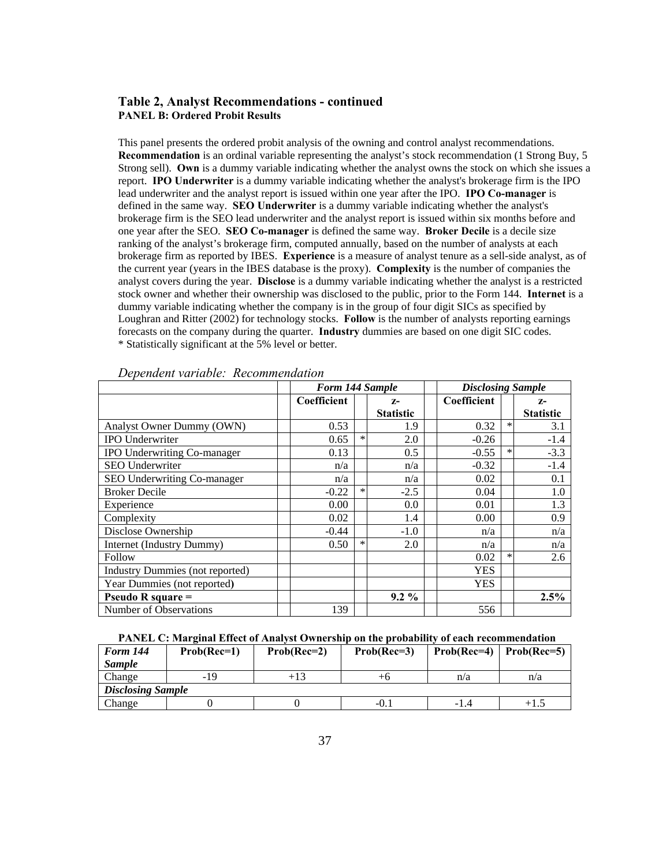### **Table 2, Analyst Recommendations - continued PANEL B: Ordered Probit Results**

This panel presents the ordered probit analysis of the owning and control analyst recommendations. **Recommendation** is an ordinal variable representing the analyst's stock recommendation (1 Strong Buy, 5 Strong sell). **Own** is a dummy variable indicating whether the analyst owns the stock on which she issues a report. **IPO Underwriter** is a dummy variable indicating whether the analyst's brokerage firm is the IPO lead underwriter and the analyst report is issued within one year after the IPO. **IPO Co-manager** is defined in the same way. **SEO Underwriter** is a dummy variable indicating whether the analyst's brokerage firm is the SEO lead underwriter and the analyst report is issued within six months before and one year after the SEO. **SEO Co-manager** is defined the same way. **Broker Decile** is a decile size ranking of the analyst's brokerage firm, computed annually, based on the number of analysts at each brokerage firm as reported by IBES. **Experience** is a measure of analyst tenure as a sell-side analyst, as of the current year (years in the IBES database is the proxy). **Complexity** is the number of companies the analyst covers during the year. **Disclose** is a dummy variable indicating whether the analyst is a restricted stock owner and whether their ownership was disclosed to the public, prior to the Form 144. **Internet** is a dummy variable indicating whether the company is in the group of four digit SICs as specified by Loughran and Ritter (2002) for technology stocks. **Follow** is the number of analysts reporting earnings forecasts on the company during the quarter. **Industry** dummies are based on one digit SIC codes. \* Statistically significant at the 5% level or better.

|                                 |             | Form 144 Sample |                  |             | <b>Disclosing Sample</b> |                  |  |
|---------------------------------|-------------|-----------------|------------------|-------------|--------------------------|------------------|--|
|                                 | Coefficient |                 | $Z-$             | Coefficient |                          | $Z-$             |  |
|                                 |             |                 | <b>Statistic</b> |             |                          | <b>Statistic</b> |  |
| Analyst Owner Dummy (OWN)       | 0.53        |                 | 1.9              | 0.32        | $\ast$                   | 3.1              |  |
| <b>IPO Underwriter</b>          | 0.65        | $\ast$          | 2.0              | $-0.26$     |                          | $-1.4$           |  |
| IPO Underwriting Co-manager     | 0.13        |                 | 0.5              | $-0.55$     | $\ast$                   | $-3.3$           |  |
| <b>SEO Underwriter</b>          | n/a         |                 | n/a              | $-0.32$     |                          | $-1.4$           |  |
| SEO Underwriting Co-manager     | n/a         |                 | n/a              | 0.02        |                          | 0.1              |  |
| <b>Broker Decile</b>            | $-0.22$     | $\ast$          | $-2.5$           | 0.04        |                          | 1.0              |  |
| Experience                      | 0.00        |                 | 0.0              | 0.01        |                          | 1.3              |  |
| Complexity                      | 0.02        |                 | 1.4              | 0.00        |                          | 0.9              |  |
| Disclose Ownership              | $-0.44$     |                 | $-1.0$           | n/a         |                          | n/a              |  |
| Internet (Industry Dummy)       | 0.50        | $\ast$          | 2.0              | n/a         |                          | n/a              |  |
| Follow                          |             |                 |                  | 0.02        | $\ast$                   | 2.6              |  |
| Industry Dummies (not reported) |             |                 |                  | <b>YES</b>  |                          |                  |  |
| Year Dummies (not reported)     |             |                 |                  | <b>YES</b>  |                          |                  |  |
| Pseudo R square $=$             |             |                 | $9.2\%$          |             |                          | 2.5%             |  |
| Number of Observations          | 139         |                 |                  | 556         |                          |                  |  |

#### *Dependent variable: Recommendation*

#### **PANEL C: Marginal Effect of Analyst Ownership on the probability of each recommendation**

| <b>Form 144</b>          | $Prob(Rec=1)$ | $Prob(Rec=2)$ | $Prob(Rec=3)$ | $Prob(Rec=4)$   $Prob(Rec=5)$ |       |
|--------------------------|---------------|---------------|---------------|-------------------------------|-------|
| <b>Sample</b>            |               |               |               |                               |       |
| Change                   | -19           | +13           | +n            | n/a                           | n/a   |
| <b>Disclosing Sample</b> |               |               |               |                               |       |
| Change                   |               |               | -0.           | -1.4                          | $+1.$ |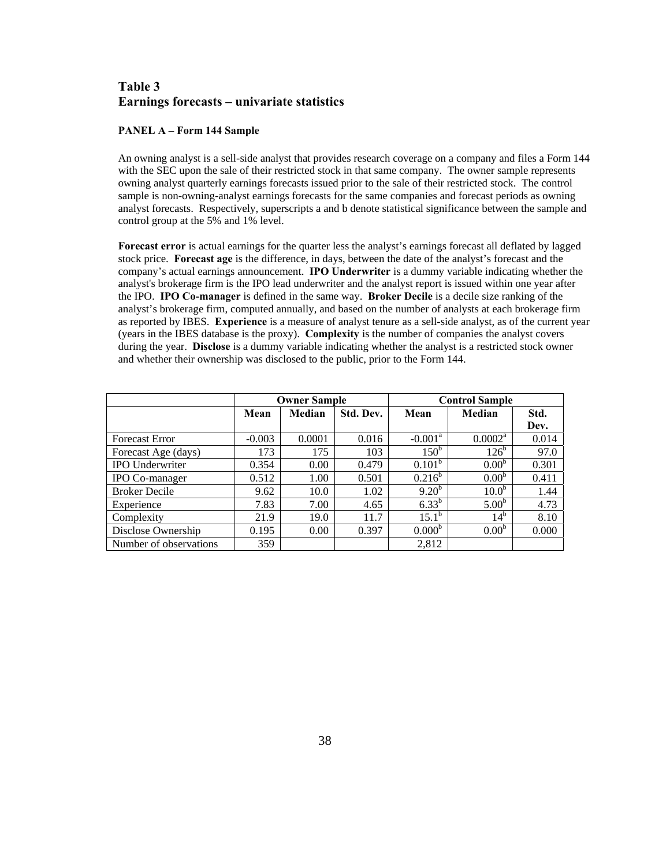# **Table 3 Earnings forecasts – univariate statistics**

#### **PANEL A – Form 144 Sample**

An owning analyst is a sell-side analyst that provides research coverage on a company and files a Form 144 with the SEC upon the sale of their restricted stock in that same company. The owner sample represents owning analyst quarterly earnings forecasts issued prior to the sale of their restricted stock. The control sample is non-owning-analyst earnings forecasts for the same companies and forecast periods as owning analyst forecasts. Respectively, superscripts a and b denote statistical significance between the sample and control group at the 5% and 1% level.

**Forecast error** is actual earnings for the quarter less the analyst's earnings forecast all deflated by lagged stock price. **Forecast age** is the difference, in days, between the date of the analyst's forecast and the company's actual earnings announcement. **IPO Underwriter** is a dummy variable indicating whether the analyst's brokerage firm is the IPO lead underwriter and the analyst report is issued within one year after the IPO. **IPO Co-manager** is defined in the same way. **Broker Decile** is a decile size ranking of the analyst's brokerage firm, computed annually, and based on the number of analysts at each brokerage firm as reported by IBES. **Experience** is a measure of analyst tenure as a sell-side analyst, as of the current year (years in the IBES database is the proxy). **Complexity** is the number of companies the analyst covers during the year. **Disclose** is a dummy variable indicating whether the analyst is a restricted stock owner and whether their ownership was disclosed to the public, prior to the Form 144.

|                        |          | <b>Owner Sample</b> |           | <b>Control Sample</b> |                   |       |  |
|------------------------|----------|---------------------|-----------|-----------------------|-------------------|-------|--|
|                        | Mean     | Median              | Std. Dev. | Mean                  | Median            | Std.  |  |
|                        |          |                     |           |                       |                   | Dev.  |  |
| <b>Forecast Error</b>  | $-0.003$ | 0.0001              | 0.016     | $-0.001^{\text{a}}$   | $0.0002^a$        | 0.014 |  |
| Forecast Age (days)    | 173      | 175                 | 103       | 150 <sup>b</sup>      | 126 <sup>b</sup>  | 97.0  |  |
| <b>IPO</b> Underwriter | 0.354    | 0.00                | 0.479     | 0.101 <sup>b</sup>    | 0.00 <sup>b</sup> | 0.301 |  |
| IPO Co-manager         | 0.512    | 1.00                | 0.501     | $0.216^b$             | 0.00 <sup>b</sup> | 0.411 |  |
| <b>Broker Decile</b>   | 9.62     | 10.0                | 1.02      | $9.20^{b}$            | 10.0 <sup>b</sup> | 1.44  |  |
| Experience             | 7.83     | 7.00                | 4.65      | $6.33^{b}$            | 5.00 <sup>b</sup> | 4.73  |  |
| Complexity             | 21.9     | 19.0                | 11.7      | $15.1^{\rm b}$        | $14^{\rm b}$      | 8.10  |  |
| Disclose Ownership     | 0.195    | 0.00                | 0.397     | 0.000 <sup>b</sup>    | 0.00 <sup>b</sup> | 0.000 |  |
| Number of observations | 359      |                     |           | 2,812                 |                   |       |  |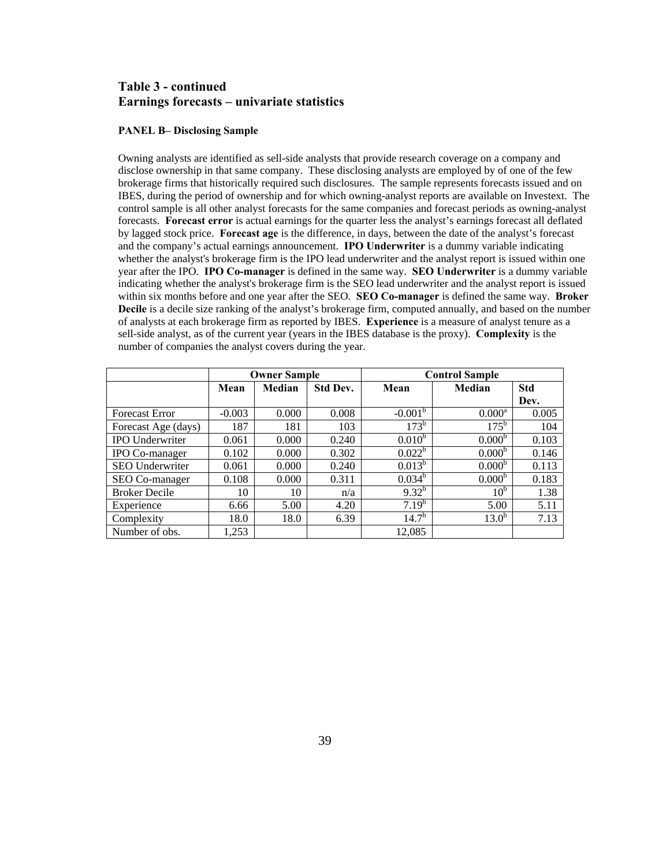## **Table 3 - continued Earnings forecasts – univariate statistics**

#### **PANEL B– Disclosing Sample**

Owning analysts are identified as sell-side analysts that provide research coverage on a company and disclose ownership in that same company. These disclosing analysts are employed by of one of the few brokerage firms that historically required such disclosures. The sample represents forecasts issued and on IBES, during the period of ownership and for which owning-analyst reports are available on Investext. The control sample is all other analyst forecasts for the same companies and forecast periods as owning-analyst forecasts. **Forecast error** is actual earnings for the quarter less the analyst's earnings forecast all deflated by lagged stock price. **Forecast age** is the difference, in days, between the date of the analyst's forecast and the company's actual earnings announcement. **IPO Underwriter** is a dummy variable indicating whether the analyst's brokerage firm is the IPO lead underwriter and the analyst report is issued within one year after the IPO. **IPO Co-manager** is defined in the same way. **SEO Underwriter** is a dummy variable indicating whether the analyst's brokerage firm is the SEO lead underwriter and the analyst report is issued within six months before and one year after the SEO. **SEO Co-manager** is defined the same way. **Broker Decile** is a decile size ranking of the analyst's brokerage firm, computed annually, and based on the number of analysts at each brokerage firm as reported by IBES. **Experience** is a measure of analyst tenure as a sell-side analyst, as of the current year (years in the IBES database is the proxy). **Complexity** is the number of companies the analyst covers during the year.

|                        |          | <b>Owner Sample</b> |                 | <b>Control Sample</b> |                    |            |  |
|------------------------|----------|---------------------|-----------------|-----------------------|--------------------|------------|--|
|                        | Mean     | Median              | <b>Std Dev.</b> | Mean                  | Median             | <b>Std</b> |  |
|                        |          |                     |                 |                       |                    | Dev.       |  |
| <b>Forecast Error</b>  | $-0.003$ | 0.000               | 0.008           | $-0.001^{b}$          | $0.000^{\rm a}$    | 0.005      |  |
| Forecast Age (days)    | 187      | 181                 | 103             | $173^{\rm b}$         | $175^{\rm b}$      | 104        |  |
| <b>IPO</b> Underwriter | 0.061    | 0.000               | 0.240           | $0.010^{b}$           | 0.000 <sup>b</sup> | 0.103      |  |
| IPO Co-manager         | 0.102    | 0.000               | 0.302           | $0.022^b$             | 0.000 <sup>b</sup> | 0.146      |  |
| SEO Underwriter        | 0.061    | 0.000               | 0.240           | $0.013^b$             | 0.000 <sup>b</sup> | 0.113      |  |
| SEO Co-manager         | 0.108    | 0.000               | 0.311           | $0.034^b$             | 0.000 <sup>b</sup> | 0.183      |  |
| <b>Broker Decile</b>   | 10       | 10                  | n/a             | $9.32^{b}$            | 10 <sup>b</sup>    | 1.38       |  |
| Experience             | 6.66     | 5.00                | 4.20            | $7.19^b$              | 5.00               | 5.11       |  |
| Complexity             | 18.0     | 18.0                | 6.39            | $14.7^{b}$            | 13.0 <sup>b</sup>  | 7.13       |  |
| Number of obs.         | 1,253    |                     |                 | 12,085                |                    |            |  |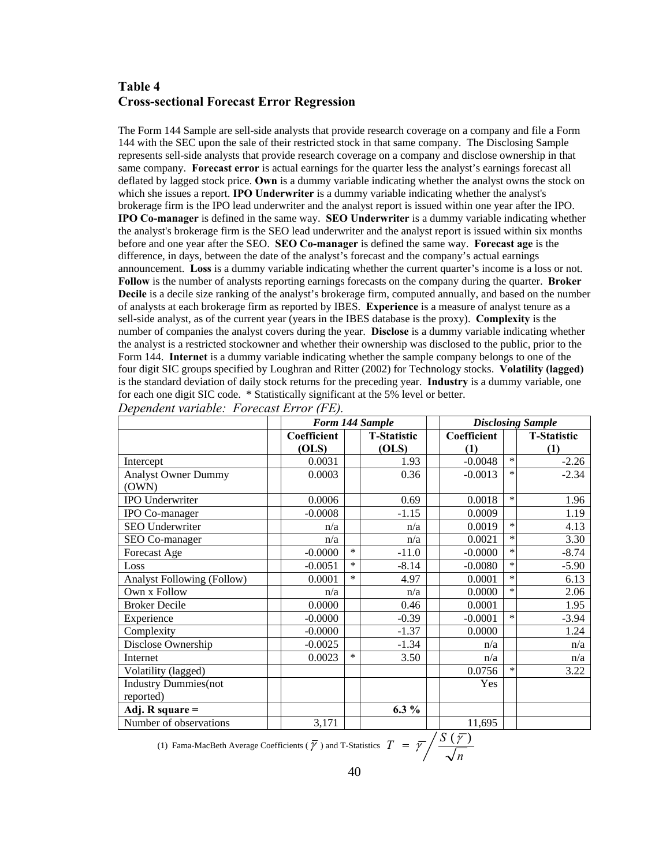# **Table 4 Cross-sectional Forecast Error Regression**

The Form 144 Sample are sell-side analysts that provide research coverage on a company and file a Form 144 with the SEC upon the sale of their restricted stock in that same company. The Disclosing Sample represents sell-side analysts that provide research coverage on a company and disclose ownership in that same company. **Forecast error** is actual earnings for the quarter less the analyst's earnings forecast all deflated by lagged stock price. **Own** is a dummy variable indicating whether the analyst owns the stock on which she issues a report. **IPO Underwriter** is a dummy variable indicating whether the analyst's brokerage firm is the IPO lead underwriter and the analyst report is issued within one year after the IPO. **IPO Co-manager** is defined in the same way. **SEO Underwriter** is a dummy variable indicating whether the analyst's brokerage firm is the SEO lead underwriter and the analyst report is issued within six months before and one year after the SEO. **SEO Co-manager** is defined the same way. **Forecast age** is the difference, in days, between the date of the analyst's forecast and the company's actual earnings announcement. **Loss** is a dummy variable indicating whether the current quarter's income is a loss or not. **Follow** is the number of analysts reporting earnings forecasts on the company during the quarter. **Broker Decile** is a decile size ranking of the analyst's brokerage firm, computed annually, and based on the number of analysts at each brokerage firm as reported by IBES. **Experience** is a measure of analyst tenure as a sell-side analyst, as of the current year (years in the IBES database is the proxy). **Complexity** is the number of companies the analyst covers during the year. **Disclose** is a dummy variable indicating whether the analyst is a restricted stockowner and whether their ownership was disclosed to the public, prior to the Form 144. **Internet** is a dummy variable indicating whether the sample company belongs to one of the four digit SIC groups specified by Loughran and Ritter (2002) for Technology stocks. **Volatility (lagged)** is the standard deviation of daily stock returns for the preceding year. **Industry** is a dummy variable, one for each one digit SIC code. \* Statistically significant at the 5% level or better.

|                                   |             | Form 144 Sample |                    |  | <b>Disclosing Sample</b> |        |                    |
|-----------------------------------|-------------|-----------------|--------------------|--|--------------------------|--------|--------------------|
|                                   | Coefficient |                 | <b>T-Statistic</b> |  | Coefficient              |        | <b>T-Statistic</b> |
|                                   | (OLS)       |                 | (OLS)              |  | (1)                      |        | (1)                |
| Intercept                         | 0.0031      |                 | 1.93               |  | $-0.0048$                | $\ast$ | $-2.26$            |
| <b>Analyst Owner Dummy</b>        | 0.0003      |                 | 0.36               |  | $-0.0013$                | $\ast$ | $-2.34$            |
| (OWN)                             |             |                 |                    |  |                          |        |                    |
| <b>IPO Underwriter</b>            | 0.0006      |                 | 0.69               |  | 0.0018                   | $\ast$ | 1.96               |
| IPO Co-manager                    | $-0.0008$   |                 | $-1.15$            |  | 0.0009                   |        | 1.19               |
| SEO Underwriter                   |             | n/a             | n/a                |  | 0.0019                   | $\ast$ | 4.13               |
| SEO Co-manager                    |             | n/a             | n/a                |  | 0.0021                   | $\ast$ | 3.30               |
| Forecast Age                      | $-0.0000$   | $\ast$          | $-11.0$            |  | $-0.0000$                | $\ast$ | $-8.74$            |
| Loss                              | $-0.0051$   | $\ast$          | $-8.14$            |  | $-0.0080$                | $\ast$ | $-5.90$            |
| <b>Analyst Following (Follow)</b> | 0.0001      | *               | 4.97               |  | 0.0001                   | $\ast$ | 6.13               |
| Own x Follow                      |             | n/a             | n/a                |  | 0.0000                   | $\ast$ | 2.06               |
| <b>Broker Decile</b>              | 0.0000      |                 | 0.46               |  | 0.0001                   |        | 1.95               |
| Experience                        | $-0.0000$   |                 | $-0.39$            |  | $-0.0001$                | $\ast$ | $-3.94$            |
| Complexity                        | $-0.0000$   |                 | $-1.37$            |  | 0.0000                   |        | 1.24               |
| Disclose Ownership                | $-0.0025$   |                 | $-1.34$            |  | n/a                      |        | n/a                |
| Internet                          | 0.0023      | $\ast$          | 3.50               |  | n/a                      |        | n/a                |
| Volatility (lagged)               |             |                 |                    |  | 0.0756                   | $\ast$ | 3.22               |
| <b>Industry Dummies</b> (not      |             |                 |                    |  | Yes                      |        |                    |
| reported)                         |             |                 |                    |  |                          |        |                    |
| Adj. R square $=$                 |             |                 | $6.3\%$            |  |                          |        |                    |
| Number of observations            | 3,171       |                 |                    |  | 11,695                   |        |                    |

| Dependent variable: Forecast Error (FE). |  |  |
|------------------------------------------|--|--|
|------------------------------------------|--|--|

(1) Fama-MacBeth Average Coefficients ( $\overline{\gamma}$ ) and T-Statistics  $T = \overline{\gamma} / \frac{S(\overline{\gamma})}{\sqrt{S(\overline{\gamma})}}$ *n*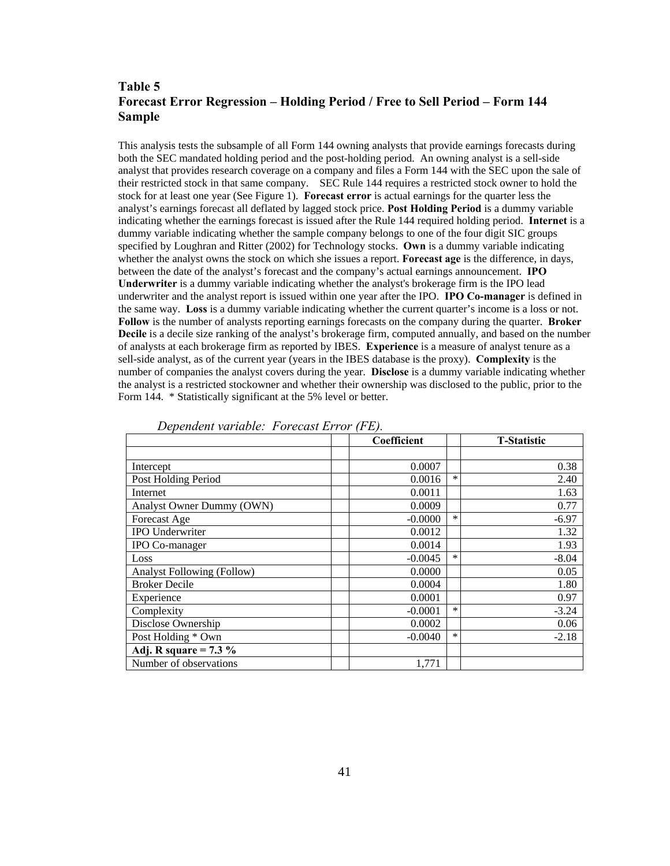# **Table 5 Forecast Error Regression – Holding Period / Free to Sell Period – Form 144 Sample**

This analysis tests the subsample of all Form 144 owning analysts that provide earnings forecasts during both the SEC mandated holding period and the post-holding period. An owning analyst is a sell-side analyst that provides research coverage on a company and files a Form 144 with the SEC upon the sale of their restricted stock in that same company. SEC Rule 144 requires a restricted stock owner to hold the stock for at least one year (See Figure 1). **Forecast error** is actual earnings for the quarter less the analyst's earnings forecast all deflated by lagged stock price. **Post Holding Period** is a dummy variable indicating whether the earnings forecast is issued after the Rule 144 required holding period. **Internet** is a dummy variable indicating whether the sample company belongs to one of the four digit SIC groups specified by Loughran and Ritter (2002) for Technology stocks. **Own** is a dummy variable indicating whether the analyst owns the stock on which she issues a report. **Forecast age** is the difference, in days, between the date of the analyst's forecast and the company's actual earnings announcement. **IPO Underwriter** is a dummy variable indicating whether the analyst's brokerage firm is the IPO lead underwriter and the analyst report is issued within one year after the IPO. **IPO Co-manager** is defined in the same way. **Loss** is a dummy variable indicating whether the current quarter's income is a loss or not. **Follow** is the number of analysts reporting earnings forecasts on the company during the quarter. **Broker Decile** is a decile size ranking of the analyst's brokerage firm, computed annually, and based on the number of analysts at each brokerage firm as reported by IBES. **Experience** is a measure of analyst tenure as a sell-side analyst, as of the current year (years in the IBES database is the proxy). **Complexity** is the number of companies the analyst covers during the year. **Disclose** is a dummy variable indicating whether the analyst is a restricted stockowner and whether their ownership was disclosed to the public, prior to the Form 144. \* Statistically significant at the 5% level or better.

|                                   | Coefficient |        | <b>T-Statistic</b> |
|-----------------------------------|-------------|--------|--------------------|
|                                   |             |        |                    |
| Intercept                         | 0.0007      |        | 0.38               |
| Post Holding Period               | 0.0016      | *      | 2.40               |
| Internet                          | 0.0011      |        | 1.63               |
| Analyst Owner Dummy (OWN)         | 0.0009      |        | 0.77               |
| Forecast Age                      | $-0.0000$   | $\ast$ | $-6.97$            |
| <b>IPO Underwriter</b>            | 0.0012      |        | 1.32               |
| IPO Co-manager                    | 0.0014      |        | 1.93               |
| Loss                              | $-0.0045$   | *      | $-8.04$            |
| <b>Analyst Following (Follow)</b> | 0.0000      |        | 0.05               |
| <b>Broker Decile</b>              | 0.0004      |        | 1.80               |
| Experience                        | 0.0001      |        | 0.97               |
| Complexity                        | $-0.0001$   | *      | $-3.24$            |
| Disclose Ownership                | 0.0002      |        | 0.06               |
| Post Holding * Own                | $-0.0040$   | *      | $-2.18$            |
| Adj. R square = $7.3\%$           |             |        |                    |
| Number of observations            | 1,771       |        |                    |

*Dependent variable: Forecast Error (FE).*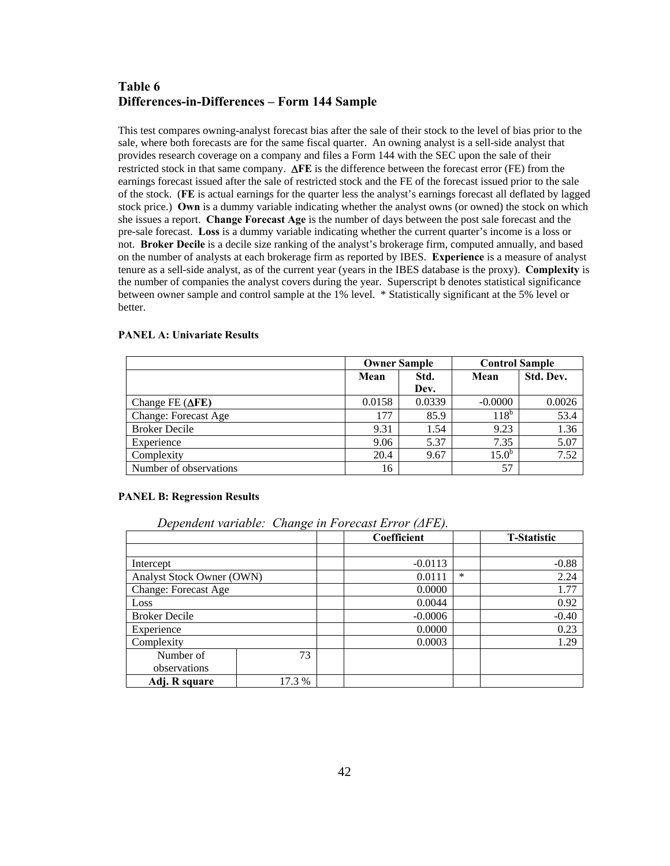# **Table 6 Differences-in-Differences – Form 144 Sample**

This test compares owning-analyst forecast bias after the sale of their stock to the level of bias prior to the sale, where both forecasts are for the same fiscal quarter. An owning analyst is a sell-side analyst that provides research coverage on a company and files a Form 144 with the SEC upon the sale of their restricted stock in that same company. ∆**FE** is the difference between the forecast error (FE) from the earnings forecast issued after the sale of restricted stock and the FE of the forecast issued prior to the sale of the stock. (**FE** is actual earnings for the quarter less the analyst's earnings forecast all deflated by lagged stock price.) **Own** is a dummy variable indicating whether the analyst owns (or owned) the stock on which she issues a report. **Change Forecast Age** is the number of days between the post sale forecast and the pre-sale forecast. **Loss** is a dummy variable indicating whether the current quarter's income is a loss or not. **Broker Decile** is a decile size ranking of the analyst's brokerage firm, computed annually, and based on the number of analysts at each brokerage firm as reported by IBES. **Experience** is a measure of analyst tenure as a sell-side analyst, as of the current year (years in the IBES database is the proxy). **Complexity** is the number of companies the analyst covers during the year. Superscript b denotes statistical significance between owner sample and control sample at the 1% level. \* Statistically significant at the 5% level or better.

#### **PANEL A: Univariate Results**

|                             |        | <b>Owner Sample</b> | <b>Control Sample</b> |           |
|-----------------------------|--------|---------------------|-----------------------|-----------|
|                             | Mean   | Std.                |                       | Std. Dev. |
|                             |        | Dev.                |                       |           |
| Change FE $(\Delta FE)$     | 0.0158 | 0.0339              | $-0.0000$             | 0.0026    |
| <b>Change: Forecast Age</b> | 177    | 85.9                | $118^b$               | 53.4      |
| <b>Broker Decile</b>        | 9.31   | 1.54                | 9.23                  | 1.36      |
| Experience                  | 9.06   | 5.37                | 7.35                  | 5.07      |
| Complexity                  | 20.4   | 9.67                | $15.0^{b}$            | 7.52      |
| Number of observations      | 16     |                     | 57                    |           |

#### **PANEL B: Regression Results**

| Dependent variable: Change in Forecast Error ( $\triangle F$ FE). |  |  |
|-------------------------------------------------------------------|--|--|
|                                                                   |  |  |

|                             |        |  | Coefficient | <b>T-Statistic</b> |         |
|-----------------------------|--------|--|-------------|--------------------|---------|
|                             |        |  |             |                    |         |
| Intercept                   |        |  | $-0.0113$   |                    | $-0.88$ |
| Analyst Stock Owner (OWN)   |        |  | 0.0111      | *                  | 2.24    |
| <b>Change: Forecast Age</b> |        |  | 0.0000      |                    | 1.77    |
| Loss                        |        |  | 0.0044      |                    | 0.92    |
| <b>Broker Decile</b>        |        |  | $-0.0006$   |                    | $-0.40$ |
| Experience                  |        |  | 0.0000      |                    | 0.23    |
| Complexity                  |        |  | 0.0003      |                    | 1.29    |
| Number of                   | 73     |  |             |                    |         |
| observations                |        |  |             |                    |         |
| Adj. R square               | 17.3 % |  |             |                    |         |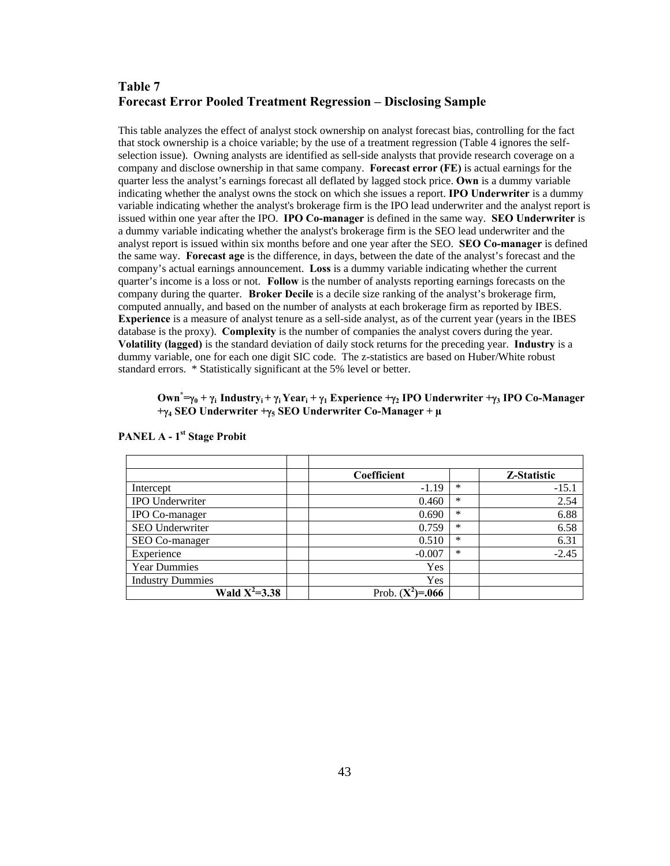# **Table 7 Forecast Error Pooled Treatment Regression – Disclosing Sample**

This table analyzes the effect of analyst stock ownership on analyst forecast bias, controlling for the fact that stock ownership is a choice variable; by the use of a treatment regression (Table 4 ignores the selfselection issue). Owning analysts are identified as sell-side analysts that provide research coverage on a company and disclose ownership in that same company. **Forecast error (FE)** is actual earnings for the quarter less the analyst's earnings forecast all deflated by lagged stock price. **Own** is a dummy variable indicating whether the analyst owns the stock on which she issues a report. **IPO Underwriter** is a dummy variable indicating whether the analyst's brokerage firm is the IPO lead underwriter and the analyst report is issued within one year after the IPO. **IPO Co-manager** is defined in the same way. **SEO Underwriter** is a dummy variable indicating whether the analyst's brokerage firm is the SEO lead underwriter and the analyst report is issued within six months before and one year after the SEO. **SEO Co-manager** is defined the same way. **Forecast age** is the difference, in days, between the date of the analyst's forecast and the company's actual earnings announcement. **Loss** is a dummy variable indicating whether the current quarter's income is a loss or not. **Follow** is the number of analysts reporting earnings forecasts on the company during the quarter. **Broker Decile** is a decile size ranking of the analyst's brokerage firm, computed annually, and based on the number of analysts at each brokerage firm as reported by IBES. **Experience** is a measure of analyst tenure as a sell-side analyst, as of the current year (years in the IBES database is the proxy). **Complexity** is the number of companies the analyst covers during the year. **Volatility (lagged)** is the standard deviation of daily stock returns for the preceding year. **Industry** is a dummy variable, one for each one digit SIC code. The z-statistics are based on Huber/White robust standard errors. \* Statistically significant at the 5% level or better.

### **Own\* =**γ**0 + γi Industryi + γi Yeari +** γ**1 Experience +**γ**2 IPO Underwriter +**γ**3 IPO Co-Manager +**γ**4 SEO Underwriter +**γ**5 SEO Underwriter Co-Manager + µ**

|                         | Coefficient         |        | Z-Statistic |
|-------------------------|---------------------|--------|-------------|
| Intercept               | $-1.19$             | ∗      | $-15.1$     |
| <b>IPO</b> Underwriter  | 0.460               | $\ast$ | 2.54        |
| IPO Co-manager          | 0.690               | ∗      | 6.88        |
| SEO Underwriter         | 0.759               | *      | 6.58        |
| SEO Co-manager          | 0.510               | $\ast$ | 6.31        |
| Experience              | $-0.007$            | ∗      | $-2.45$     |
| <b>Year Dummies</b>     | Yes                 |        |             |
| <b>Industry Dummies</b> | Yes                 |        |             |
| Wald $X^2 = 3.38$       | Prob. $(Y$<br>=.066 |        |             |

#### **PANEL A - 1<sup>st</sup> Stage Probit**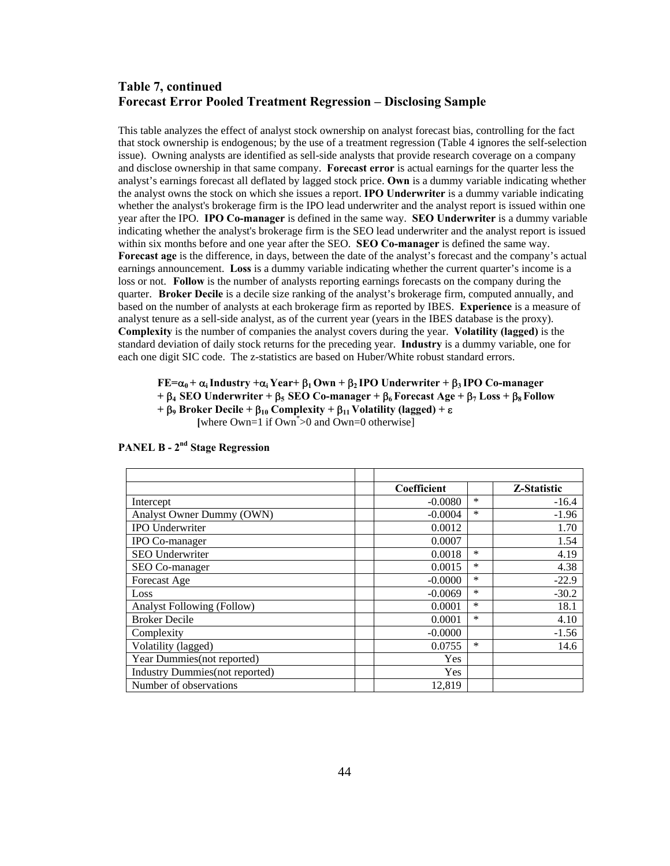# **Table 7, continued Forecast Error Pooled Treatment Regression – Disclosing Sample**

This table analyzes the effect of analyst stock ownership on analyst forecast bias, controlling for the fact that stock ownership is endogenous; by the use of a treatment regression (Table 4 ignores the self-selection issue). Owning analysts are identified as sell-side analysts that provide research coverage on a company and disclose ownership in that same company. **Forecast error** is actual earnings for the quarter less the analyst's earnings forecast all deflated by lagged stock price. **Own** is a dummy variable indicating whether the analyst owns the stock on which she issues a report. **IPO Underwriter** is a dummy variable indicating whether the analyst's brokerage firm is the IPO lead underwriter and the analyst report is issued within one year after the IPO. **IPO Co-manager** is defined in the same way. **SEO Underwriter** is a dummy variable indicating whether the analyst's brokerage firm is the SEO lead underwriter and the analyst report is issued within six months before and one year after the SEO. **SEO Co-manager** is defined the same way. **Forecast age** is the difference, in days, between the date of the analyst's forecast and the company's actual earnings announcement. **Loss** is a dummy variable indicating whether the current quarter's income is a loss or not. **Follow** is the number of analysts reporting earnings forecasts on the company during the quarter. **Broker Decile** is a decile size ranking of the analyst's brokerage firm, computed annually, and based on the number of analysts at each brokerage firm as reported by IBES. **Experience** is a measure of analyst tenure as a sell-side analyst, as of the current year (years in the IBES database is the proxy). **Complexity** is the number of companies the analyst covers during the year. **Volatility (lagged)** is the standard deviation of daily stock returns for the preceding year. **Industry** is a dummy variable, one for each one digit SIC code. The z-statistics are based on Huber/White robust standard errors.

# **FE=** $\alpha_0 + \alpha_i$  Industry  $+\alpha_i$  Year +  $\beta_1$  Own +  $\beta_2$  IPO Underwriter +  $\beta_3$  IPO Co-manager

**+** β**4 SEO Underwriter +** β**5 SEO Co-manager +** β**6 Forecast Age +** β**7 Loss +** β**8 Follow** 

**+** β**9 Broker Decile +** β**10 Complexity +** β**11 Volatility (lagged) +** ε

[where Own=1 if Own<sup>\*</sup>>0 and Own=0 otherwise]

|                                        | Coefficient |        | Z-Statistic |
|----------------------------------------|-------------|--------|-------------|
| Intercept                              | $-0.0080$   | $\ast$ | $-16.4$     |
| Analyst Owner Dummy (OWN)              | $-0.0004$   | $\ast$ | $-1.96$     |
| IPO Underwriter                        | 0.0012      |        | 1.70        |
| IPO Co-manager                         | 0.0007      |        | 1.54        |
| SEO Underwriter                        | 0.0018      | $\ast$ | 4.19        |
| SEO Co-manager                         | 0.0015      | $\ast$ | 4.38        |
| Forecast Age                           | $-0.0000$   | *      | $-22.9$     |
| Loss                                   | $-0.0069$   | $\ast$ | $-30.2$     |
| <b>Analyst Following (Follow)</b>      | 0.0001      | $\ast$ | 18.1        |
| <b>Broker Decile</b>                   | 0.0001      | $\ast$ | 4.10        |
| Complexity                             | $-0.0000$   |        | $-1.56$     |
| Volatility (lagged)                    | 0.0755      | *      | 14.6        |
| Year Dummies(not reported)             | <b>Yes</b>  |        |             |
| <b>Industry Dummies</b> (not reported) | <b>Yes</b>  |        |             |
| Number of observations                 | 12.819      |        |             |

# **PANEL B - 2nd Stage Regression**